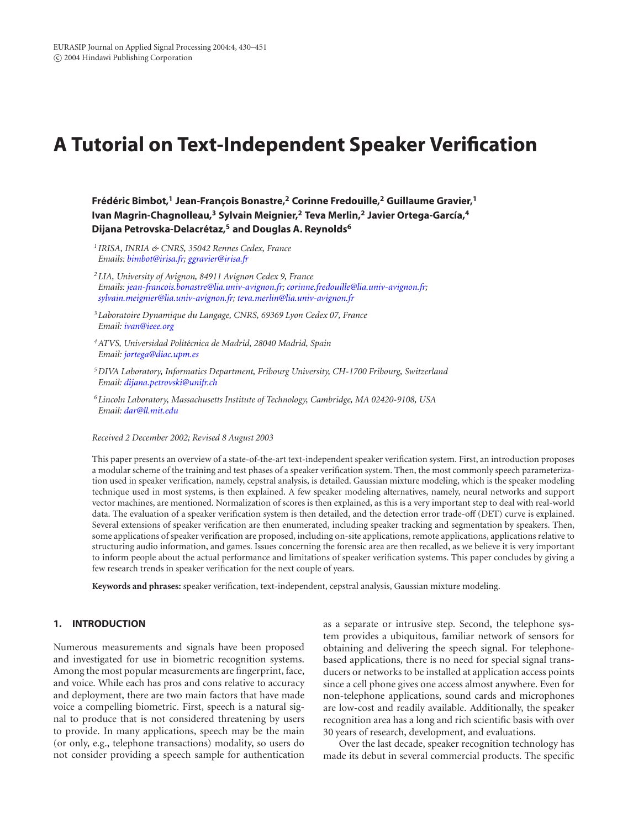# **A Tutorial on Text-Independent Speaker Verification**

**Fred´ eric Bimbot, ´ <sup>1</sup> Jean-Franc¸ois Bonastre,2 Corinne Fredouille,2 Guillaume Gravier,1** Ivan Magrin-Chagnolleau,<sup>3</sup> Sylvain Meignier,<sup>2</sup> Teva Merlin,<sup>2</sup> Javier Ortega-García,<sup>4</sup> **Dijana Petrovska-Delacretaz, ´ <sup>5</sup> and Douglas A. Reynolds6**

- *<sup>1</sup> IRISA, INRIA & CNRS, 35042 Rennes Cedex, France Emails: [bimbot@irisa.fr;](mailto:bimbot@irisa.fr) [ggravier@irisa.fr](mailto:ggravier@irisa.fr)*
- *<sup>2</sup> LIA, University of Avignon, 84911 Avignon Cedex 9, France Emails: [jean-francois.bonastre@lia.univ-avignon.fr;](mailto:jean-francois.bonastre@lia.univ-avignon.fr) [corinne.fredouille@lia.univ-avignon.fr;](mailto:corinne.fredouille@lia.univ-avignon.fr) [sylvain.meignier@lia.univ-avignon.fr;](mailto:sylvain.meignier@lia.univ-avignon.fr) [teva.merlin@lia.univ-avignon.fr](mailto:teva.merlin@lia.univ-avignon.fr)*
- *<sup>3</sup> Laboratoire Dynamique du Langage, CNRS, 69369 Lyon Cedex 07, France Email: [ivan@ieee.org](mailto:ivan@ieee.org)*
- <sup>4</sup> ATVS, Universidad Politécnica de Madrid, 28040 Madrid, Spain *Email: [jortega@diac.upm.es](mailto:jortega@diac.upm.es)*
- *5DIVA Laboratory, Informatics Department, Fribourg University, CH-1700 Fribourg, Switzerland Email: [dijana.petrovski@unifr.ch](mailto:dijana.petrovski@unifr.ch)*
- *<sup>6</sup> Lincoln Laboratory, Massachusetts Institute of Technology, Cambridge, MA 02420-9108, USA Email: [dar@ll.mit.edu](mailto:dar@ll.mit.edu)*

*Received 2 December 2002; Revised 8 August 2003*

This paper presents an overview of a state-of-the-art text-independent speaker verification system. First, an introduction proposes a modular scheme of the training and test phases of a speaker verification system. Then, the most commonly speech parameterization used in speaker verification, namely, cepstral analysis, is detailed. Gaussian mixture modeling, which is the speaker modeling technique used in most systems, is then explained. A few speaker modeling alternatives, namely, neural networks and support vector machines, are mentioned. Normalization of scores is then explained, as this is a very important step to deal with real-world data. The evaluation of a speaker verification system is then detailed, and the detection error trade-off (DET) curve is explained. Several extensions of speaker verification are then enumerated, including speaker tracking and segmentation by speakers. Then, some applications of speaker verification are proposed, including on-site applications, remote applications, applications relative to structuring audio information, and games. Issues concerning the forensic area are then recalled, as we believe it is very important to inform people about the actual performance and limitations of speaker verification systems. This paper concludes by giving a few research trends in speaker verification for the next couple of years.

**Keywords and phrases:** speaker verification, text-independent, cepstral analysis, Gaussian mixture modeling.

# **1. INTRODUCTION**

Numerous measurements and signals have been proposed and investigated for use in biometric recognition systems. Among the most popular measurements are fingerprint, face, and voice. While each has pros and cons relative to accuracy and deployment, there are two main factors that have made voice a compelling biometric. First, speech is a natural signal to produce that is not considered threatening by users to provide. In many applications, speech may be the main (or only, e.g., telephone transactions) modality, so users do not consider providing a speech sample for authentication

as a separate or intrusive step. Second, the telephone system provides a ubiquitous, familiar network of sensors for obtaining and delivering the speech signal. For telephonebased applications, there is no need for special signal transducers or networks to be installed at application access points since a cell phone gives one access almost anywhere. Even for non-telephone applications, sound cards and microphones are low-cost and readily available. Additionally, the speaker recognition area has a long and rich scientific basis with over 30 years of research, development, and evaluations.

Over the last decade, speaker recognition technology has made its debut in several commercial products. The specific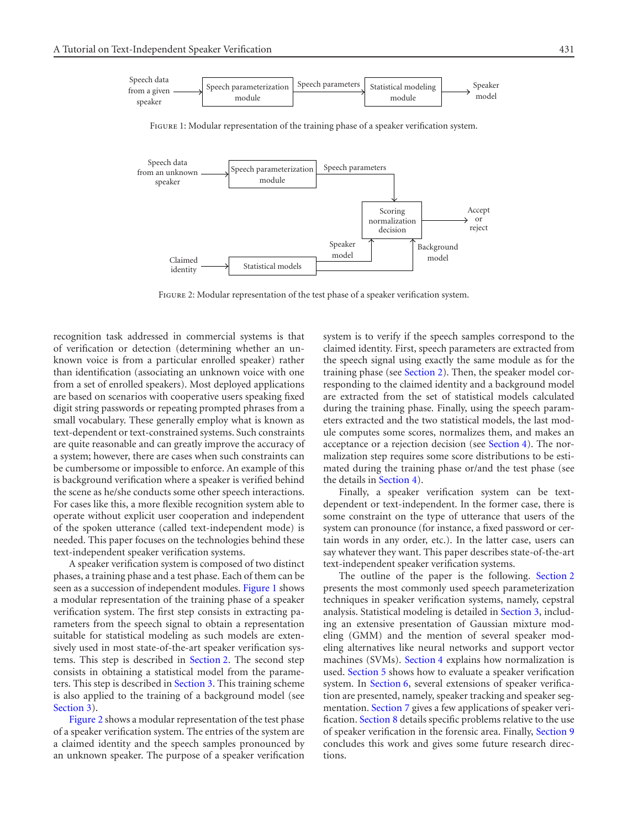

Figure 1: Modular representation of the training phase of a speaker verification system.

<span id="page-1-0"></span>

<span id="page-1-1"></span>Figure 2: Modular representation of the test phase of a speaker verification system.

recognition task addressed in commercial systems is that of verification or detection (determining whether an unknown voice is from a particular enrolled speaker) rather than identification (associating an unknown voice with one from a set of enrolled speakers). Most deployed applications are based on scenarios with cooperative users speaking fixed digit string passwords or repeating prompted phrases from a small vocabulary. These generally employ what is known as text-dependent or text-constrained systems. Such constraints are quite reasonable and can greatly improve the accuracy of a system; however, there are cases when such constraints can be cumbersome or impossible to enforce. An example of this is background verification where a speaker is verified behind the scene as he/she conducts some other speech interactions. For cases like this, a more flexible recognition system able to operate without explicit user cooperation and independent of the spoken utterance (called text-independent mode) is needed. This paper focuses on the technologies behind these text-independent speaker verification systems.

A speaker verification system is composed of two distinct phases, a training phase and a test phase. Each of them can be seen as a succession of independent modules. [Figure 1](#page-1-0) shows a modular representation of the training phase of a speaker verification system. The first step consists in extracting parameters from the speech signal to obtain a representation suitable for statistical modeling as such models are extensively used in most state-of-the-art speaker verification systems. This step is described in [Section 2.](#page-2-0) The second step consists in obtaining a statistical model from the parameters. This step is described in [Section 3.](#page-4-0) This training scheme is also applied to the training of a background model (see [Section 3\)](#page-4-0).

[Figure 2](#page-1-1) shows a modular representation of the test phase of a speaker verification system. The entries of the system are a claimed identity and the speech samples pronounced by an unknown speaker. The purpose of a speaker verification

system is to verify if the speech samples correspond to the claimed identity. First, speech parameters are extracted from the speech signal using exactly the same module as for the training phase (see [Section 2\)](#page-2-0). Then, the speaker model corresponding to the claimed identity and a background model are extracted from the set of statistical models calculated during the training phase. Finally, using the speech parameters extracted and the two statistical models, the last module computes some scores, normalizes them, and makes an acceptance or a rejection decision (see [Section 4\)](#page-8-0). The normalization step requires some score distributions to be estimated during the training phase or/and the test phase (see the details in [Section 4\)](#page-8-0).

Finally, a speaker verification system can be textdependent or text-independent. In the former case, there is some constraint on the type of utterance that users of the system can pronounce (for instance, a fixed password or certain words in any order, etc.). In the latter case, users can say whatever they want. This paper describes state-of-the-art text-independent speaker verification systems.

The outline of the paper is the following. [Section 2](#page-2-0) presents the most commonly used speech parameterization techniques in speaker verification systems, namely, cepstral analysis. Statistical modeling is detailed in [Section 3,](#page-4-0) including an extensive presentation of Gaussian mixture modeling (GMM) and the mention of several speaker modeling alternatives like neural networks and support vector machines (SVMs). [Section 4](#page-8-0) explains how normalization is used. [Section 5](#page-11-0) shows how to evaluate a speaker verification system. In [Section 6,](#page-12-0) several extensions of speaker verification are presented, namely, speaker tracking and speaker seg-mentation. [Section 7](#page-12-1) gives a few applications of speaker verification. [Section 8](#page-13-0) details specific problems relative to the use of speaker verification in the forensic area. Finally, [Section 9](#page-16-0) concludes this work and gives some future research directions.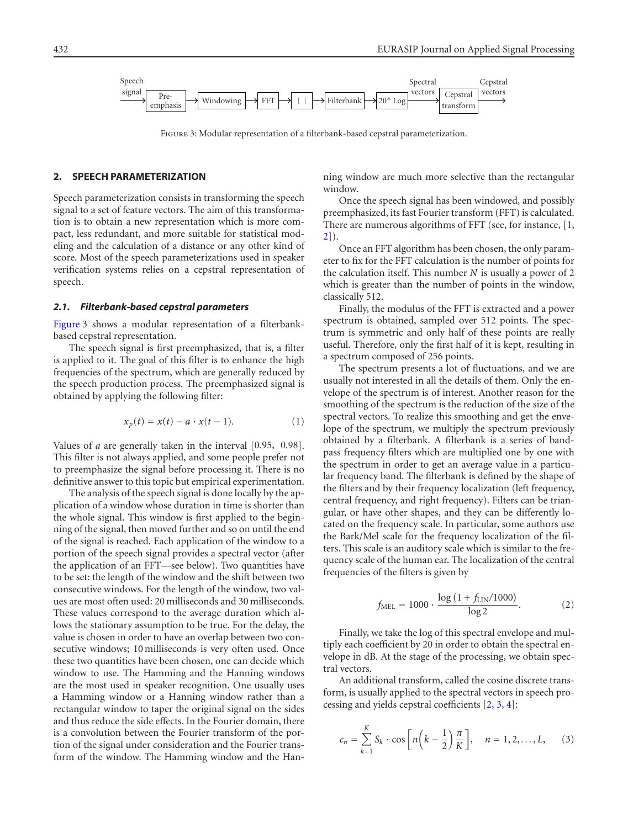

<span id="page-2-1"></span>Figure 3: Modular representation of a filterbank-based cepstral parameterization.

#### <span id="page-2-0"></span>**2. SPEECH PARAMETERIZATION**

Speech parameterization consists in transforming the speech signal to a set of feature vectors. The aim of this transformation is to obtain a new representation which is more compact, less redundant, and more suitable for statistical modeling and the calculation of a distance or any other kind of score. Most of the speech parameterizations used in speaker verification systems relies on a cepstral representation of speech.

#### *2.1. Filterbank-based cepstral parameters*

[Figure 3](#page-2-1) shows a modular representation of a filterbankbased cepstral representation.

The speech signal is first preemphasized, that is, a filter is applied to it. The goal of this filter is to enhance the high frequencies of the spectrum, which are generally reduced by the speech production process. The preemphasized signal is obtained by applying the following filter:

$$
x_p(t) = x(t) - a \cdot x(t-1). \tag{1}
$$

Values of *a* are generally taken in the interval [0*.*95, 0*.*98]. This filter is not always applied, and some people prefer not to preemphasize the signal before processing it. There is no definitive answer to this topic but empirical experimentation.

The analysis of the speech signal is done locally by the application of a window whose duration in time is shorter than the whole signal. This window is first applied to the beginning of the signal, then moved further and so on until the end of the signal is reached. Each application of the window to a portion of the speech signal provides a spectral vector (after the application of an FFT—see below). Two quantities have to be set: the length of the window and the shift between two consecutive windows. For the length of the window, two values are most often used: 20 milliseconds and 30 milliseconds. These values correspond to the average duration which allows the stationary assumption to be true. For the delay, the value is chosen in order to have an overlap between two consecutive windows; 10 milliseconds is very often used. Once these two quantities have been chosen, one can decide which window to use. The Hamming and the Hanning windows are the most used in speaker recognition. One usually uses a Hamming window or a Hanning window rather than a rectangular window to taper the original signal on the sides and thus reduce the side effects. In the Fourier domain, there is a convolution between the Fourier transform of the portion of the signal under consideration and the Fourier transform of the window. The Hamming window and the Hanning window are much more selective than the rectangular window.

Once the speech signal has been windowed, and possibly preemphasized, its fast Fourier transform (FFT) is calculated. There are numerous algorithms of FFT (see, for instance, [\[1,](#page-17-0) [2\]](#page-17-1)).

Once an FFT algorithm has been chosen, the only parameter to fix for the FFT calculation is the number of points for the calculation itself. This number *N* is usually a power of 2 which is greater than the number of points in the window, classically 512.

Finally, the modulus of the FFT is extracted and a power spectrum is obtained, sampled over 512 points. The spectrum is symmetric and only half of these points are really useful. Therefore, only the first half of it is kept, resulting in a spectrum composed of 256 points.

The spectrum presents a lot of fluctuations, and we are usually not interested in all the details of them. Only the envelope of the spectrum is of interest. Another reason for the smoothing of the spectrum is the reduction of the size of the spectral vectors. To realize this smoothing and get the envelope of the spectrum, we multiply the spectrum previously obtained by a filterbank. A filterbank is a series of bandpass frequency filters which are multiplied one by one with the spectrum in order to get an average value in a particular frequency band. The filterbank is defined by the shape of the filters and by their frequency localization (left frequency, central frequency, and right frequency). Filters can be triangular, or have other shapes, and they can be differently located on the frequency scale. In particular, some authors use the Bark/Mel scale for the frequency localization of the filters. This scale is an auditory scale which is similar to the frequency scale of the human ear. The localization of the central frequencies of the filters is given by

$$
f_{\text{MEL}} = 1000 \cdot \frac{\log (1 + f_{\text{LN}}/1000)}{\log 2}.
$$
 (2)

Finally, we take the log of this spectral envelope and multiply each coefficient by 20 in order to obtain the spectral envelope in dB. At the stage of the processing, we obtain spectral vectors.

An additional transform, called the cosine discrete transform, is usually applied to the spectral vectors in speech processing and yields cepstral coefficients [\[2,](#page-17-1) [3](#page-17-2), [4\]](#page-17-3):

$$
c_n = \sum_{k=1}^{K} S_k \cdot \cos \left[ n \left( k - \frac{1}{2} \right) \frac{\pi}{K} \right], \quad n = 1, 2, \dots, L,
$$
 (3)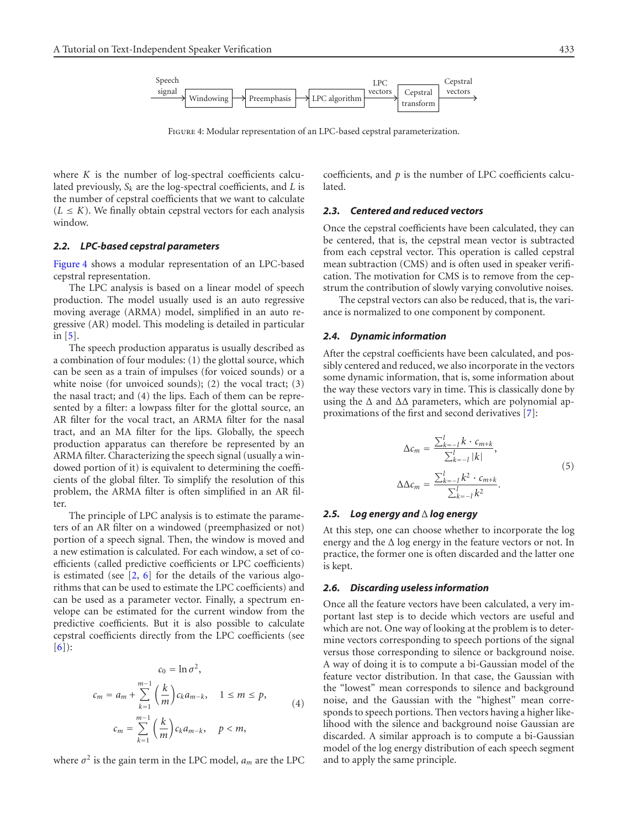

<span id="page-3-0"></span>Figure 4: Modular representation of an LPC-based cepstral parameterization.

where *K* is the number of log-spectral coefficients calculated previously,  $S_k$  are the log-spectral coefficients, and *L* is the number of cepstral coefficients that we want to calculate  $(L \leq K)$ . We finally obtain cepstral vectors for each analysis window.

#### *2.2. LPC-based cepstral parameters*

[Figure 4](#page-3-0) shows a modular representation of an LPC-based cepstral representation.

The LPC analysis is based on a linear model of speech production. The model usually used is an auto regressive moving average (ARMA) model, simplified in an auto regressive (AR) model. This modeling is detailed in particular in [\[5\]](#page-17-4).

The speech production apparatus is usually described as a combination of four modules: (1) the glottal source, which can be seen as a train of impulses (for voiced sounds) or a white noise (for unvoiced sounds); (2) the vocal tract; (3) the nasal tract; and (4) the lips. Each of them can be represented by a filter: a lowpass filter for the glottal source, an AR filter for the vocal tract, an ARMA filter for the nasal tract, and an MA filter for the lips. Globally, the speech production apparatus can therefore be represented by an ARMA filter. Characterizing the speech signal (usually a windowed portion of it) is equivalent to determining the coefficients of the global filter. To simplify the resolution of this problem, the ARMA filter is often simplified in an AR filter.

The principle of LPC analysis is to estimate the parameters of an AR filter on a windowed (preemphasized or not) portion of a speech signal. Then, the window is moved and a new estimation is calculated. For each window, a set of coefficients (called predictive coefficients or LPC coefficients) is estimated (see  $[2, 6]$  $[2, 6]$  $[2, 6]$  for the details of the various algorithms that can be used to estimate the LPC coefficients) and can be used as a parameter vector. Finally, a spectrum envelope can be estimated for the current window from the predictive coefficients. But it is also possible to calculate cepstral coefficients directly from the LPC coefficients (see  $[6]$  $[6]$ :

$$
c_0 = \ln \sigma^2,
$$
  
\n
$$
c_m = a_m + \sum_{k=1}^{m-1} \left(\frac{k}{m}\right) c_k a_{m-k}, \quad 1 \le m \le p,
$$
  
\n
$$
c_m = \sum_{k=1}^{m-1} \left(\frac{k}{m}\right) c_k a_{m-k}, \quad p < m,
$$
\n(4)

where  $\sigma^2$  is the gain term in the LPC model,  $a_m$  are the LPC

coefficients, and *p* is the number of LPC coefficients calculated.

## *2.3. Centered and reduced vectors*

Once the cepstral coefficients have been calculated, they can be centered, that is, the cepstral mean vector is subtracted from each cepstral vector. This operation is called cepstral mean subtraction (CMS) and is often used in speaker verification. The motivation for CMS is to remove from the cepstrum the contribution of slowly varying convolutive noises.

The cepstral vectors can also be reduced, that is, the variance is normalized to one component by component.

#### *2.4. Dynamic information*

After the cepstral coefficients have been calculated, and possibly centered and reduced, we also incorporate in the vectors some dynamic information, that is, some information about the way these vectors vary in time. This is classically done by using the ∆ and ∆∆ parameters, which are polynomial approximations of the first and second derivatives [\[7](#page-17-6)]:

$$
\Delta c_m = \frac{\sum_{k=-l}^{l} k \cdot c_{m+k}}{\sum_{k=-l}^{l} |k|},
$$
  
\n
$$
\Delta \Delta c_m = \frac{\sum_{k=-l}^{l} k^2 \cdot c_{m+k}}{\sum_{k=-l}^{l} k^2}.
$$
\n(5)

#### *2.5. Log energy and* ∆ *log energy*

At this step, one can choose whether to incorporate the log energy and the ∆ log energy in the feature vectors or not. In practice, the former one is often discarded and the latter one is kept.

## *2.6. Discarding useless information*

Once all the feature vectors have been calculated, a very important last step is to decide which vectors are useful and which are not. One way of looking at the problem is to determine vectors corresponding to speech portions of the signal versus those corresponding to silence or background noise. A way of doing it is to compute a bi-Gaussian model of the feature vector distribution. In that case, the Gaussian with the "lowest" mean corresponds to silence and background noise, and the Gaussian with the "highest" mean corresponds to speech portions. Then vectors having a higher likelihood with the silence and background noise Gaussian are discarded. A similar approach is to compute a bi-Gaussian model of the log energy distribution of each speech segment and to apply the same principle.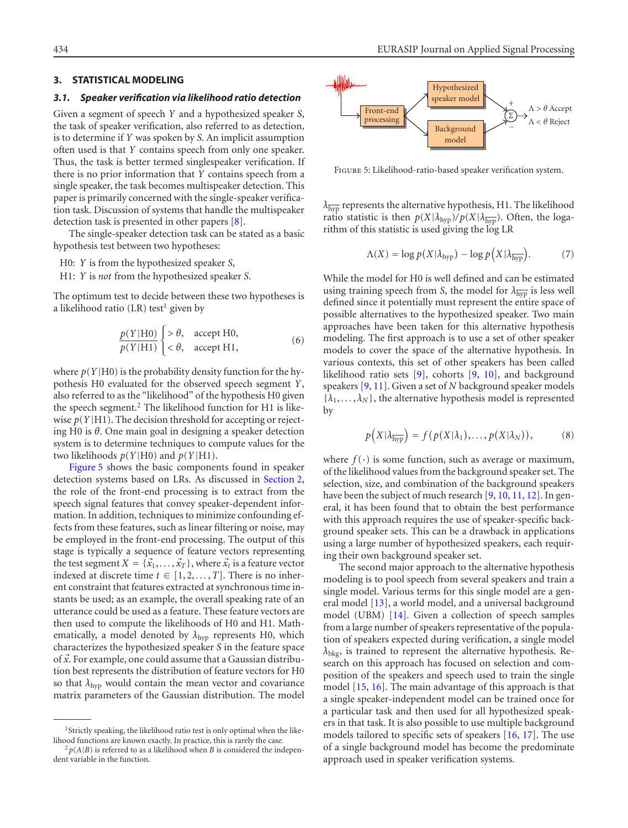# <span id="page-4-0"></span>**3. STATISTICAL MODELING**

## *3.1. Speaker verification via likelihood ratio detection*

Given a segment of speech *Y* and a hypothesized speaker *S*, the task of speaker verification, also referred to as detection, is to determine if *Y* was spoken by *S*. An implicit assumption often used is that *Y* contains speech from only one speaker. Thus, the task is better termed singlespeaker verification. If there is no prior information that *Y* contains speech from a single speaker, the task becomes multispeaker detection. This paper is primarily concerned with the single-speaker verification task. Discussion of systems that handle the multispeaker detection task is presented in other papers [\[8\]](#page-17-7).

The single-speaker detection task can be stated as a basic hypothesis test between two hypotheses:

H0: *Y* is from the hypothesized speaker *S*,

H1: *Y* is *not* from the hypothesized speaker *S*.

The optimum test to decide between these two hypotheses is a likelihood ratio (LR) test<sup>1</sup> given by

$$
\frac{p(Y|H0)}{p(Y|H1)} \begin{cases} > \theta, \quad \text{accept H0,} \\ < \theta, \quad \text{accept H1,} \end{cases} \tag{6}
$$

where  $p(Y|H0)$  is the probability density function for the hypothesis H0 evaluated for the observed speech segment *Y*, also referred to as the "likelihood" of the hypothesis H0 given the speech segment.<sup>2</sup> The likelihood function for H1 is likewise  $p(Y|H1)$ . The decision threshold for accepting or rejecting H0 is *θ*. One main goal in designing a speaker detection system is to determine techniques to compute values for the two likelihoods  $p(Y|H0)$  and  $p(Y|H1)$ .

[Figure 5](#page-4-1) shows the basic components found in speaker detection systems based on LRs. As discussed in [Section 2,](#page-2-0) the role of the front-end processing is to extract from the speech signal features that convey speaker-dependent information. In addition, techniques to minimize confounding effects from these features, such as linear filtering or noise, may be employed in the front-end processing. The output of this stage is typically a sequence of feature vectors representing the test segment *X* = { $\vec{x_1}, \dots, \vec{x_T}$ }, where  $\vec{x_t}$  is a feature vector indexed at discrete time  $t \in [1, 2, \ldots, T]$ . There is no inherent constraint that features extracted at synchronous time instants be used; as an example, the overall speaking rate of an utterance could be used as a feature. These feature vectors are then used to compute the likelihoods of H0 and H1. Mathematically, a model denoted by *λ*hyp represents H0, which characterizes the hypothesized speaker *S* in the feature space of *x*. For example, one could assume that a Gaussian distribution best represents the distribution of feature vectors for H0 so that  $\lambda_{\rm hyp}$  would contain the mean vector and covariance matrix parameters of the Gaussian distribution. The model

Λ *< θ* Reject  $Λ > θ$  Accept + − Hypothesized speaker model Background model Front-end processing

<span id="page-4-1"></span>Figure 5: Likelihood-ratio-based speaker verification system.

 $\lambda_{\overline{\text{hyp}}}$  represents the alternative hypothesis, H1. The likelihood ratio statistic is then  $p(X|\lambda_{hyp})/p(X|\lambda_{hyp})$ . Often, the logarithm of this statistic is used giving the log LR

$$
\Lambda(X) = \log p(X|\lambda_{\text{hyp}}) - \log p(X|\lambda_{\overline{\text{hyp}}}). \tag{7}
$$

While the model for H0 is well defined and can be estimated using training speech from *S*, the model for  $\lambda_{\overline{\text{hvo}}}$  is less well defined since it potentially must represent the entire space of possible alternatives to the hypothesized speaker. Two main approaches have been taken for this alternative hypothesis modeling. The first approach is to use a set of other speaker models to cover the space of the alternative hypothesis. In various contexts, this set of other speakers has been called likelihood ratio sets [\[9](#page-17-8)], cohorts [\[9,](#page-17-8) [10\]](#page-17-9), and background speakers [\[9,](#page-17-8) [11\]](#page-17-10). Given a set of *N* background speaker models  $\{\lambda_1, \ldots, \lambda_N\}$ , the alternative hypothesis model is represented by

$$
p(X|\lambda_{\overline{\textrm{hyp}}}) = f(p(X|\lambda_1), \dots, p(X|\lambda_N)), \quad (8)
$$

where  $f(\cdot)$  is some function, such as average or maximum, of the likelihood values from the background speaker set. The selection, size, and combination of the background speakers have been the subject of much research [\[9,](#page-17-8) [10](#page-17-9), [11](#page-17-10), [12\]](#page-17-11). In general, it has been found that to obtain the best performance with this approach requires the use of speaker-specific background speaker sets. This can be a drawback in applications using a large number of hypothesized speakers, each requiring their own background speaker set.

The second major approach to the alternative hypothesis modeling is to pool speech from several speakers and train a single model. Various terms for this single model are a general model [\[13](#page-17-12)], a world model, and a universal background model (UBM) [\[14](#page-17-13)]. Given a collection of speech samples from a large number of speakers representative of the population of speakers expected during verification, a single model *λ*bkg, is trained to represent the alternative hypothesis. Research on this approach has focused on selection and composition of the speakers and speech used to train the single model [\[15](#page-17-14), [16\]](#page-17-15). The main advantage of this approach is that a single speaker-independent model can be trained once for a particular task and then used for all hypothesized speakers in that task. It is also possible to use multiple background models tailored to specific sets of speakers [\[16](#page-17-15), [17\]](#page-17-16). The use of a single background model has become the predominate approach used in speaker verification systems.

<sup>&</sup>lt;sup>1</sup>Strictly speaking, the likelihood ratio test is only optimal when the like-

lihood functions are known exactly. In practice, this is rarely the case.  ${}^{2}p(A|B)$  is referred to as a likelihood when *B* is considered the independent variable in the function.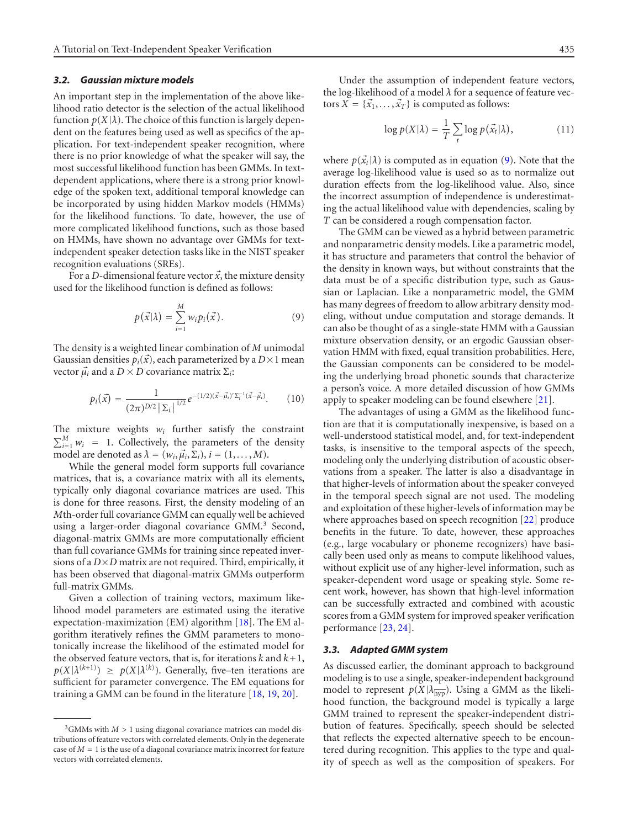## *3.2. Gaussian mixture models*

An important step in the implementation of the above likelihood ratio detector is the selection of the actual likelihood function  $p(X|\lambda)$ . The choice of this function is largely dependent on the features being used as well as specifics of the application. For text-independent speaker recognition, where there is no prior knowledge of what the speaker will say, the most successful likelihood function has been GMMs. In textdependent applications, where there is a strong prior knowledge of the spoken text, additional temporal knowledge can be incorporated by using hidden Markov models (HMMs) for the likelihood functions. To date, however, the use of more complicated likelihood functions, such as those based on HMMs, have shown no advantage over GMMs for textindependent speaker detection tasks like in the NIST speaker recognition evaluations (SREs).

For a *D*-dimensional feature vector  $\vec{x}$ , the mixture density used for the likelihood function is defined as follows:

<span id="page-5-0"></span>
$$
p(\vec{x}|\lambda) = \sum_{i=1}^{M} w_i p_i(\vec{x}).
$$
 (9)

The density is a weighted linear combination of *M* unimodal Gaussian densities  $p_i(\vec{x})$ , each parameterized by a  $D \times 1$  mean vector  $\vec{\mu}_i$  and a  $D \times D$  covariance matrix  $\Sigma_i$ :

$$
p_i(\vec{x}) = \frac{1}{(2\pi)^{D/2} |\Sigma_i|^{1/2}} e^{-(1/2)(\vec{x} - \vec{\mu}_i)' \Sigma_i^{-1} (\vec{x} - \vec{\mu}_i)}. (10)
$$

The mixture weights *wi* further satisfy the constraint  $\sum_{i=1}^{M} w_i$  = 1. Collectively, the parameters of the density model are denoted as  $\lambda = (w_i, \vec{\mu}_i, \Sigma_i), i = (1, \dots, M).$ 

While the general model form supports full covariance matrices, that is, a covariance matrix with all its elements, typically only diagonal covariance matrices are used. This is done for three reasons. First, the density modeling of an *M*th-order full covariance GMM can equally well be achieved using a larger-order diagonal covariance GMM.<sup>3</sup> Second, diagonal-matrix GMMs are more computationally efficient than full covariance GMMs for training since repeated inversions of a  $D \times D$  matrix are not required. Third, empirically, it has been observed that diagonal-matrix GMMs outperform full-matrix GMMs.

Given a collection of training vectors, maximum likelihood model parameters are estimated using the iterative expectation-maximization (EM) algorithm [\[18\]](#page-17-17). The EM algorithm iteratively refines the GMM parameters to monotonically increase the likelihood of the estimated model for the observed feature vectors, that is, for iterations *k* and *k*+1,  $p(X|\lambda^{(k+1)}) \geq p(X|\lambda^{(k)})$ . Generally, five–ten iterations are sufficient for parameter convergence. The EM equations for training a GMM can be found in the literature [\[18,](#page-17-17) [19,](#page-17-18) [20](#page-17-19)].

Under the assumption of independent feature vectors, the log-likelihood of a model *λ* for a sequence of feature vectors  $X = \{\vec{x}_1, \dots, \vec{x}_T\}$  is computed as follows:

$$
\log p(X|\lambda) = \frac{1}{T} \sum_{t} \log p(\vec{x}_t|\lambda), \tag{11}
$$

where  $p(\vec{x}_t|\lambda)$  is computed as in equation [\(9\)](#page-5-0). Note that the average log-likelihood value is used so as to normalize out duration effects from the log-likelihood value. Also, since the incorrect assumption of independence is underestimating the actual likelihood value with dependencies, scaling by *T* can be considered a rough compensation factor.

The GMM can be viewed as a hybrid between parametric and nonparametric density models. Like a parametric model, it has structure and parameters that control the behavior of the density in known ways, but without constraints that the data must be of a specific distribution type, such as Gaussian or Laplacian. Like a nonparametric model, the GMM has many degrees of freedom to allow arbitrary density modeling, without undue computation and storage demands. It can also be thought of as a single-state HMM with a Gaussian mixture observation density, or an ergodic Gaussian observation HMM with fixed, equal transition probabilities. Here, the Gaussian components can be considered to be modeling the underlying broad phonetic sounds that characterize a person's voice. A more detailed discussion of how GMMs apply to speaker modeling can be found elsewhere [\[21](#page-17-20)].

The advantages of using a GMM as the likelihood function are that it is computationally inexpensive, is based on a well-understood statistical model, and, for text-independent tasks, is insensitive to the temporal aspects of the speech, modeling only the underlying distribution of acoustic observations from a speaker. The latter is also a disadvantage in that higher-levels of information about the speaker conveyed in the temporal speech signal are not used. The modeling and exploitation of these higher-levels of information may be where approaches based on speech recognition [\[22](#page-17-21)] produce benefits in the future. To date, however, these approaches (e.g., large vocabulary or phoneme recognizers) have basically been used only as means to compute likelihood values, without explicit use of any higher-level information, such as speaker-dependent word usage or speaking style. Some recent work, however, has shown that high-level information can be successfully extracted and combined with acoustic scores from a GMM system for improved speaker verification performance [\[23,](#page-17-22) [24\]](#page-18-0).

#### *3.3. Adapted GMM system*

As discussed earlier, the dominant approach to background modeling is to use a single, speaker-independent background model to represent  $p(X|\lambda_{\overline{\text{hyp}}})$ . Using a GMM as the likelihood function, the background model is typically a large GMM trained to represent the speaker-independent distribution of features. Specifically, speech should be selected that reflects the expected alternative speech to be encountered during recognition. This applies to the type and quality of speech as well as the composition of speakers. For

 $3$ GMMs with  $M > 1$  using diagonal covariance matrices can model distributions of feature vectors with correlated elements. Only in the degenerate case of  $M = 1$  is the use of a diagonal covariance matrix incorrect for feature vectors with correlated elements.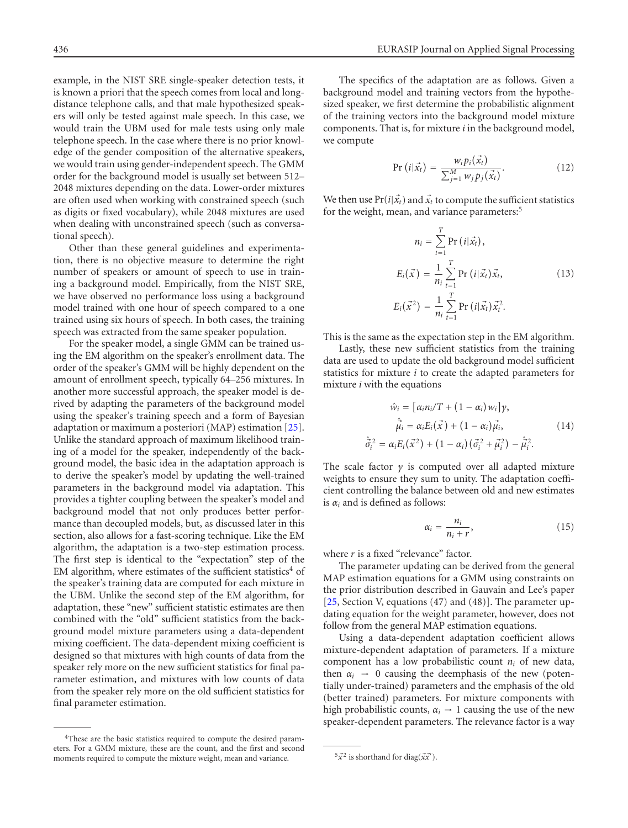example, in the NIST SRE single-speaker detection tests, it is known a priori that the speech comes from local and longdistance telephone calls, and that male hypothesized speakers will only be tested against male speech. In this case, we would train the UBM used for male tests using only male telephone speech. In the case where there is no prior knowledge of the gender composition of the alternative speakers, we would train using gender-independent speech. The GMM order for the background model is usually set between 512– 2048 mixtures depending on the data. Lower-order mixtures are often used when working with constrained speech (such as digits or fixed vocabulary), while 2048 mixtures are used when dealing with unconstrained speech (such as conversational speech).

Other than these general guidelines and experimentation, there is no objective measure to determine the right number of speakers or amount of speech to use in training a background model. Empirically, from the NIST SRE, we have observed no performance loss using a background model trained with one hour of speech compared to a one trained using six hours of speech. In both cases, the training speech was extracted from the same speaker population.

For the speaker model, a single GMM can be trained using the EM algorithm on the speaker's enrollment data. The order of the speaker's GMM will be highly dependent on the amount of enrollment speech, typically 64–256 mixtures. In another more successful approach, the speaker model is derived by adapting the parameters of the background model using the speaker's training speech and a form of Bayesian adaptation or maximum a posteriori (MAP) estimation [\[25\]](#page-18-1). Unlike the standard approach of maximum likelihood training of a model for the speaker, independently of the background model, the basic idea in the adaptation approach is to derive the speaker's model by updating the well-trained parameters in the background model via adaptation. This provides a tighter coupling between the speaker's model and background model that not only produces better performance than decoupled models, but, as discussed later in this section, also allows for a fast-scoring technique. Like the EM algorithm, the adaptation is a two-step estimation process. The first step is identical to the "expectation" step of the EM algorithm, where estimates of the sufficient statistics<sup>4</sup> of the speaker's training data are computed for each mixture in the UBM. Unlike the second step of the EM algorithm, for adaptation, these "new" sufficient statistic estimates are then combined with the "old" sufficient statistics from the background model mixture parameters using a data-dependent mixing coefficient. The data-dependent mixing coefficient is designed so that mixtures with high counts of data from the speaker rely more on the new sufficient statistics for final parameter estimation, and mixtures with low counts of data from the speaker rely more on the old sufficient statistics for final parameter estimation.

<sup>4</sup>These are the basic statistics required to compute the desired parameters. For a GMM mixture, these are the count, and the first and second moments required to compute the mixture weight, mean and variance.

The specifics of the adaptation are as follows. Given a background model and training vectors from the hypothesized speaker, we first determine the probabilistic alignment of the training vectors into the background model mixture components. That is, for mixture *i* in the background model, we compute

$$
Pr(i|\vec{x}_t) = \frac{w_i p_i(\vec{x}_t)}{\sum_{j=1}^M w_j p_j(\vec{x}_t)}.
$$
 (12)

We then use  $Pr(i|\vec{x}_t)$  and  $\vec{x}_t$  to compute the sufficient statistics for the weight, mean, and variance parameters:<sup>5</sup>

$$
n_{i} = \sum_{t=1}^{T} \Pr(i|\vec{x}_{t}),
$$
  
\n
$$
E_{i}(\vec{x}) = \frac{1}{n_{i}} \sum_{t=1}^{T} \Pr(i|\vec{x}_{t}) \vec{x}_{t},
$$
  
\n
$$
E_{i}(\vec{x}^{2}) = \frac{1}{n_{i}} \sum_{t=1}^{T} \Pr(i|\vec{x}_{t}) \vec{x}_{t}^{2}.
$$
\n(13)

This is the same as the expectation step in the EM algorithm.

Lastly, these new sufficient statistics from the training data are used to update the old background model sufficient statistics for mixture *i* to create the adapted parameters for mixture *i* with the equations

$$
\hat{w}_i = [\alpha_i n_i/T + (1 - \alpha_i) w_i] \gamma,
$$
  
\n
$$
\hat{\vec{\mu}}_i = \alpha_i E_i(\vec{x}) + (1 - \alpha_i) \vec{\mu}_i,
$$
  
\n
$$
\hat{\vec{\sigma}}_i^2 = \alpha_i E_i(\vec{x}^2) + (1 - \alpha_i) (\vec{\sigma}_i^2 + \vec{\mu}_i^2) - \hat{\vec{\mu}}_i^2.
$$
\n(14)

The scale factor  $\gamma$  is computed over all adapted mixture weights to ensure they sum to unity. The adaptation coefficient controlling the balance between old and new estimates is  $\alpha_i$  and is defined as follows:

$$
\alpha_i = \frac{n_i}{n_i + r},\tag{15}
$$

where *r* is a fixed "relevance" factor.

The parameter updating can be derived from the general MAP estimation equations for a GMM using constraints on the prior distribution described in Gauvain and Lee's paper [\[25](#page-18-1), Section V, equations (47) and (48)]. The parameter updating equation for the weight parameter, however, does not follow from the general MAP estimation equations.

Using a data-dependent adaptation coefficient allows mixture-dependent adaptation of parameters. If a mixture component has a low probabilistic count *ni* of new data, then  $\alpha_i \rightarrow 0$  causing the deemphasis of the new (potentially under-trained) parameters and the emphasis of the old (better trained) parameters. For mixture components with high probabilistic counts,  $\alpha_i \rightarrow 1$  causing the use of the new speaker-dependent parameters. The relevance factor is a way

 $5\vec{x}^2$  is shorthand for diag( $\vec{x}\vec{x}$ ).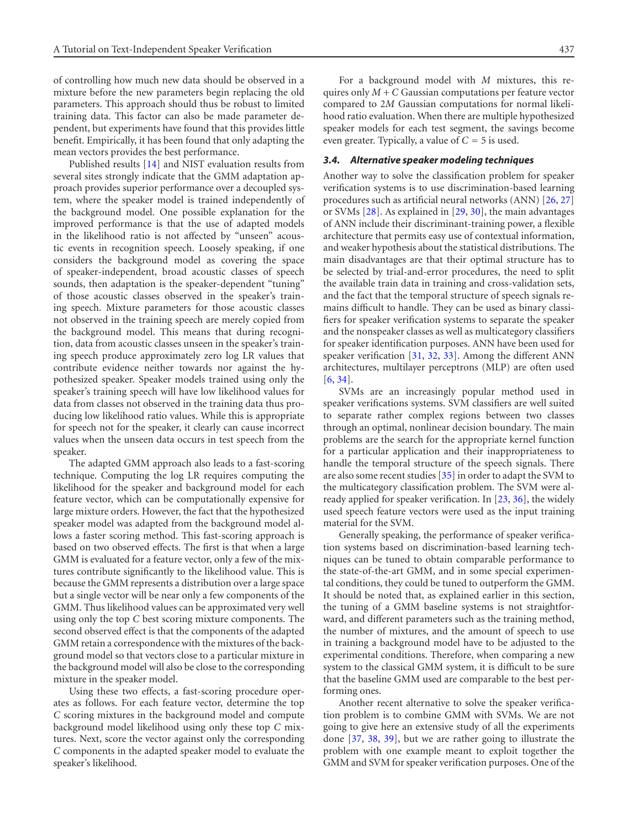of controlling how much new data should be observed in a mixture before the new parameters begin replacing the old parameters. This approach should thus be robust to limited training data. This factor can also be made parameter dependent, but experiments have found that this provides little benefit. Empirically, it has been found that only adapting the mean vectors provides the best performance.

Published results [\[14\]](#page-17-13) and NIST evaluation results from several sites strongly indicate that the GMM adaptation approach provides superior performance over a decoupled system, where the speaker model is trained independently of the background model. One possible explanation for the improved performance is that the use of adapted models in the likelihood ratio is not affected by "unseen" acoustic events in recognition speech. Loosely speaking, if one considers the background model as covering the space of speaker-independent, broad acoustic classes of speech sounds, then adaptation is the speaker-dependent "tuning" of those acoustic classes observed in the speaker's training speech. Mixture parameters for those acoustic classes not observed in the training speech are merely copied from the background model. This means that during recognition, data from acoustic classes unseen in the speaker's training speech produce approximately zero log LR values that contribute evidence neither towards nor against the hypothesized speaker. Speaker models trained using only the speaker's training speech will have low likelihood values for data from classes not observed in the training data thus producing low likelihood ratio values. While this is appropriate for speech not for the speaker, it clearly can cause incorrect values when the unseen data occurs in test speech from the speaker.

The adapted GMM approach also leads to a fast-scoring technique. Computing the log LR requires computing the likelihood for the speaker and background model for each feature vector, which can be computationally expensive for large mixture orders. However, the fact that the hypothesized speaker model was adapted from the background model allows a faster scoring method. This fast-scoring approach is based on two observed effects. The first is that when a large GMM is evaluated for a feature vector, only a few of the mixtures contribute significantly to the likelihood value. This is because the GMM represents a distribution over a large space but a single vector will be near only a few components of the GMM. Thus likelihood values can be approximated very well using only the top *C* best scoring mixture components. The second observed effect is that the components of the adapted GMM retain a correspondence with the mixtures of the background model so that vectors close to a particular mixture in the background model will also be close to the corresponding mixture in the speaker model.

Using these two effects, a fast-scoring procedure operates as follows. For each feature vector, determine the top *C* scoring mixtures in the background model and compute background model likelihood using only these top *C* mixtures. Next, score the vector against only the corresponding *C* components in the adapted speaker model to evaluate the speaker's likelihood.

For a background model with *M* mixtures, this requires only *M* + *C* Gaussian computations per feature vector compared to 2*M* Gaussian computations for normal likelihood ratio evaluation. When there are multiple hypothesized speaker models for each test segment, the savings become even greater. Typically, a value of  $C = 5$  is used.

#### *3.4. Alternative speaker modeling techniques*

Another way to solve the classification problem for speaker verification systems is to use discrimination-based learning procedures such as artificial neural networks (ANN) [\[26](#page-18-2), [27](#page-18-3)] or SVMs [\[28\]](#page-18-4). As explained in [\[29,](#page-18-5) [30](#page-18-6)], the main advantages of ANN include their discriminant-training power, a flexible architecture that permits easy use of contextual information, and weaker hypothesis about the statistical distributions. The main disadvantages are that their optimal structure has to be selected by trial-and-error procedures, the need to split the available train data in training and cross-validation sets, and the fact that the temporal structure of speech signals remains difficult to handle. They can be used as binary classifiers for speaker verification systems to separate the speaker and the nonspeaker classes as well as multicategory classifiers for speaker identification purposes. ANN have been used for speaker verification [\[31](#page-18-7), [32](#page-18-8), [33](#page-18-9)]. Among the different ANN architectures, multilayer perceptrons (MLP) are often used [\[6](#page-17-5), [34\]](#page-18-10).

SVMs are an increasingly popular method used in speaker verifications systems. SVM classifiers are well suited to separate rather complex regions between two classes through an optimal, nonlinear decision boundary. The main problems are the search for the appropriate kernel function for a particular application and their inappropriateness to handle the temporal structure of the speech signals. There are also some recent studies [\[35\]](#page-18-11) in order to adapt the SVM to the multicategory classification problem. The SVM were already applied for speaker verification. In [\[23](#page-17-22), [36\]](#page-18-12), the widely used speech feature vectors were used as the input training material for the SVM.

Generally speaking, the performance of speaker verification systems based on discrimination-based learning techniques can be tuned to obtain comparable performance to the state-of-the-art GMM, and in some special experimental conditions, they could be tuned to outperform the GMM. It should be noted that, as explained earlier in this section, the tuning of a GMM baseline systems is not straightforward, and different parameters such as the training method, the number of mixtures, and the amount of speech to use in training a background model have to be adjusted to the experimental conditions. Therefore, when comparing a new system to the classical GMM system, it is difficult to be sure that the baseline GMM used are comparable to the best performing ones.

Another recent alternative to solve the speaker verification problem is to combine GMM with SVMs. We are not going to give here an extensive study of all the experiments done [\[37,](#page-18-13) [38](#page-18-14), [39\]](#page-18-15), but we are rather going to illustrate the problem with one example meant to exploit together the GMM and SVM for speaker verification purposes. One of the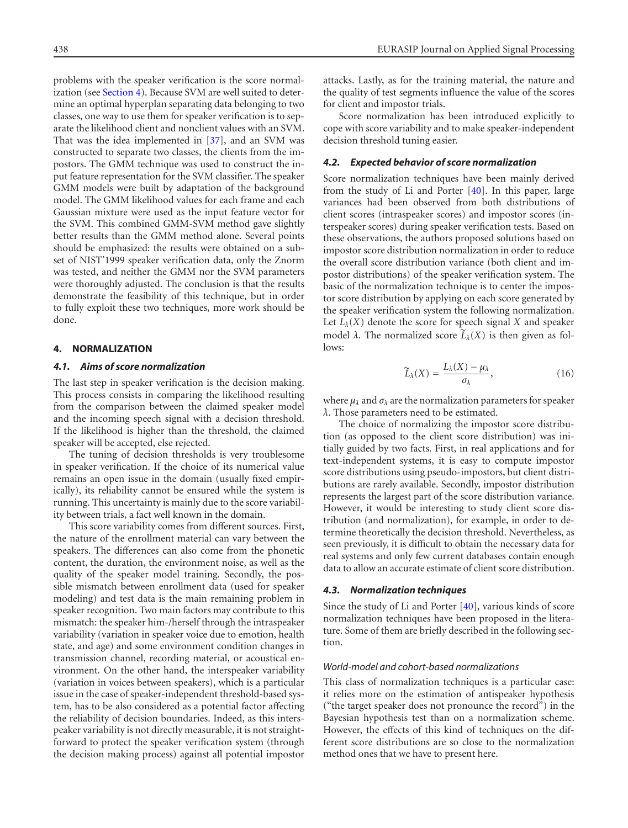problems with the speaker verification is the score normalization (see [Section 4\)](#page-8-0). Because SVM are well suited to determine an optimal hyperplan separating data belonging to two classes, one way to use them for speaker verification is to separate the likelihood client and nonclient values with an SVM. That was the idea implemented in [\[37](#page-18-13)], and an SVM was constructed to separate two classes, the clients from the impostors. The GMM technique was used to construct the input feature representation for the SVM classifier. The speaker GMM models were built by adaptation of the background model. The GMM likelihood values for each frame and each Gaussian mixture were used as the input feature vector for the SVM. This combined GMM-SVM method gave slightly better results than the GMM method alone. Several points should be emphasized: the results were obtained on a subset of NIST'1999 speaker verification data, only the Znorm was tested, and neither the GMM nor the SVM parameters were thoroughly adjusted. The conclusion is that the results demonstrate the feasibility of this technique, but in order to fully exploit these two techniques, more work should be done.

#### <span id="page-8-0"></span>**4. NORMALIZATION**

## *4.1. Aims of score normalization*

The last step in speaker verification is the decision making. This process consists in comparing the likelihood resulting from the comparison between the claimed speaker model and the incoming speech signal with a decision threshold. If the likelihood is higher than the threshold, the claimed speaker will be accepted, else rejected.

The tuning of decision thresholds is very troublesome in speaker verification. If the choice of its numerical value remains an open issue in the domain (usually fixed empirically), its reliability cannot be ensured while the system is running. This uncertainty is mainly due to the score variability between trials, a fact well known in the domain.

This score variability comes from different sources. First, the nature of the enrollment material can vary between the speakers. The differences can also come from the phonetic content, the duration, the environment noise, as well as the quality of the speaker model training. Secondly, the possible mismatch between enrollment data (used for speaker modeling) and test data is the main remaining problem in speaker recognition. Two main factors may contribute to this mismatch: the speaker him-/herself through the intraspeaker variability (variation in speaker voice due to emotion, health state, and age) and some environment condition changes in transmission channel, recording material, or acoustical environment. On the other hand, the interspeaker variability (variation in voices between speakers), which is a particular issue in the case of speaker-independent threshold-based system, has to be also considered as a potential factor affecting the reliability of decision boundaries. Indeed, as this interspeaker variability is not directly measurable, it is not straightforward to protect the speaker verification system (through the decision making process) against all potential impostor

attacks. Lastly, as for the training material, the nature and the quality of test segments influence the value of the scores for client and impostor trials.

Score normalization has been introduced explicitly to cope with score variability and to make speaker-independent decision threshold tuning easier.

#### *4.2. Expected behavior of score normalization*

Score normalization techniques have been mainly derived from the study of Li and Porter [\[40](#page-18-16)]. In this paper, large variances had been observed from both distributions of client scores (intraspeaker scores) and impostor scores (interspeaker scores) during speaker verification tests. Based on these observations, the authors proposed solutions based on impostor score distribution normalization in order to reduce the overall score distribution variance (both client and impostor distributions) of the speaker verification system. The basic of the normalization technique is to center the impostor score distribution by applying on each score generated by the speaker verification system the following normalization. Let  $L_\lambda(X)$  denote the score for speech signal *X* and speaker model  $\lambda$ . The normalized score  $\widetilde{L}_{\lambda}(X)$  is then given as follows:

<span id="page-8-1"></span>
$$
\widetilde{L}_{\lambda}(X) = \frac{L_{\lambda}(X) - \mu_{\lambda}}{\sigma_{\lambda}},\tag{16}
$$

where  $\mu_{\lambda}$  and  $\sigma_{\lambda}$  are the normalization parameters for speaker *λ*. Those parameters need to be estimated.

The choice of normalizing the impostor score distribution (as opposed to the client score distribution) was initially guided by two facts. First, in real applications and for text-independent systems, it is easy to compute impostor score distributions using pseudo-impostors, but client distributions are rarely available. Secondly, impostor distribution represents the largest part of the score distribution variance. However, it would be interesting to study client score distribution (and normalization), for example, in order to determine theoretically the decision threshold. Nevertheless, as seen previously, it is difficult to obtain the necessary data for real systems and only few current databases contain enough data to allow an accurate estimate of client score distribution.

#### *4.3. Normalization techniques*

Since the study of Li and Porter [\[40](#page-18-16)], various kinds of score normalization techniques have been proposed in the literature. Some of them are briefly described in the following section.

# *World-model and cohort-based normalizations*

This class of normalization techniques is a particular case: it relies more on the estimation of antispeaker hypothesis ("the target speaker does not pronounce the record") in the Bayesian hypothesis test than on a normalization scheme. However, the effects of this kind of techniques on the different score distributions are so close to the normalization method ones that we have to present here.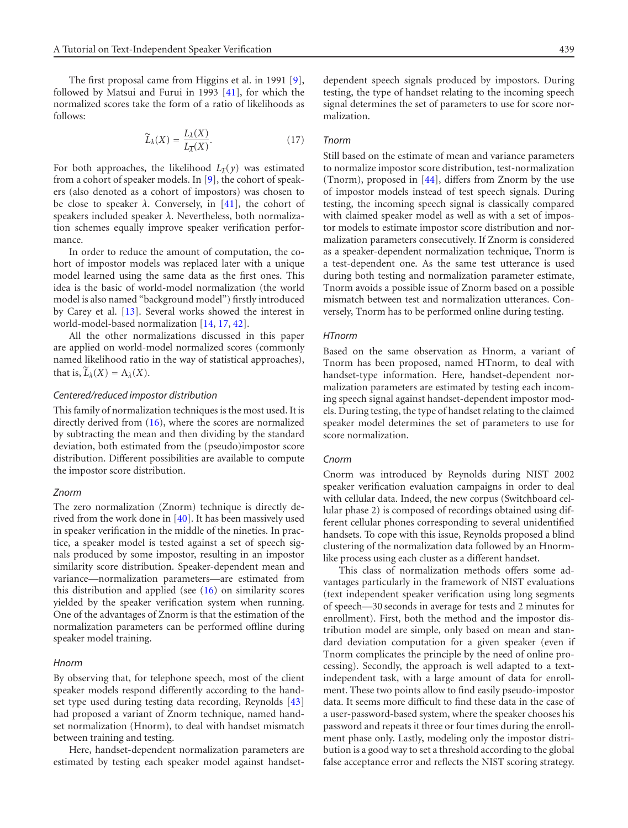The first proposal came from Higgins et al. in 1991 [\[9\]](#page-17-8), followed by Matsui and Furui in 1993 [\[41\]](#page-18-17), for which the normalized scores take the form of a ratio of likelihoods as follows:

$$
\widetilde{L}_{\lambda}(X) = \frac{L_{\lambda}(X)}{L_{\overline{\lambda}}(X)}.\tag{17}
$$

For both approaches, the likelihood  $L_{\overline{\lambda}}(y)$  was estimated from a cohort of speaker models. In [\[9](#page-17-8)], the cohort of speakers (also denoted as a cohort of impostors) was chosen to be close to speaker  $\lambda$ . Conversely, in [\[41](#page-18-17)], the cohort of speakers included speaker *λ*. Nevertheless, both normalization schemes equally improve speaker verification performance.

In order to reduce the amount of computation, the cohort of impostor models was replaced later with a unique model learned using the same data as the first ones. This idea is the basic of world-model normalization (the world model is also named "background model") firstly introduced by Carey et al. [\[13](#page-17-12)]. Several works showed the interest in world-model-based normalization [\[14,](#page-17-13) [17](#page-17-16), [42](#page-18-18)].

All the other normalizations discussed in this paper are applied on world-model normalized scores (commonly named likelihood ratio in the way of statistical approaches), that is,  $\widetilde{L}_{\lambda}(X) = \Lambda_{\lambda}(X)$ .

#### *Centered/reduced impostor distribution*

This family of normalization techniques is the most used. It is directly derived from [\(16\)](#page-8-1), where the scores are normalized by subtracting the mean and then dividing by the standard deviation, both estimated from the (pseudo)impostor score distribution. Different possibilities are available to compute the impostor score distribution.

#### *Znorm*

The zero normalization (Znorm) technique is directly derived from the work done in [\[40\]](#page-18-16). It has been massively used in speaker verification in the middle of the nineties. In practice, a speaker model is tested against a set of speech signals produced by some impostor, resulting in an impostor similarity score distribution. Speaker-dependent mean and variance—normalization parameters—are estimated from this distribution and applied (see [\(16\)](#page-8-1) on similarity scores yielded by the speaker verification system when running. One of the advantages of Znorm is that the estimation of the normalization parameters can be performed offline during speaker model training.

#### *Hnorm*

By observing that, for telephone speech, most of the client speaker models respond differently according to the handset type used during testing data recording, Reynolds [\[43](#page-18-19)] had proposed a variant of Znorm technique, named handset normalization (Hnorm), to deal with handset mismatch between training and testing.

Here, handset-dependent normalization parameters are estimated by testing each speaker model against handset-

dependent speech signals produced by impostors. During testing, the type of handset relating to the incoming speech signal determines the set of parameters to use for score normalization.

# *Tnorm*

Still based on the estimate of mean and variance parameters to normalize impostor score distribution, test-normalization (Tnorm), proposed in [\[44\]](#page-18-20), differs from Znorm by the use of impostor models instead of test speech signals. During testing, the incoming speech signal is classically compared with claimed speaker model as well as with a set of impostor models to estimate impostor score distribution and normalization parameters consecutively. If Znorm is considered as a speaker-dependent normalization technique, Tnorm is a test-dependent one. As the same test utterance is used during both testing and normalization parameter estimate, Tnorm avoids a possible issue of Znorm based on a possible mismatch between test and normalization utterances. Conversely, Tnorm has to be performed online during testing.

#### *HTnorm*

Based on the same observation as Hnorm, a variant of Tnorm has been proposed, named HTnorm, to deal with handset-type information. Here, handset-dependent normalization parameters are estimated by testing each incoming speech signal against handset-dependent impostor models. During testing, the type of handset relating to the claimed speaker model determines the set of parameters to use for score normalization.

# *Cnorm*

Cnorm was introduced by Reynolds during NIST 2002 speaker verification evaluation campaigns in order to deal with cellular data. Indeed, the new corpus (Switchboard cellular phase 2) is composed of recordings obtained using different cellular phones corresponding to several unidentified handsets. To cope with this issue, Reynolds proposed a blind clustering of the normalization data followed by an Hnormlike process using each cluster as a different handset.

This class of normalization methods offers some advantages particularly in the framework of NIST evaluations (text independent speaker verification using long segments of speech—30 seconds in average for tests and 2 minutes for enrollment). First, both the method and the impostor distribution model are simple, only based on mean and standard deviation computation for a given speaker (even if Tnorm complicates the principle by the need of online processing). Secondly, the approach is well adapted to a textindependent task, with a large amount of data for enrollment. These two points allow to find easily pseudo-impostor data. It seems more difficult to find these data in the case of a user-password-based system, where the speaker chooses his password and repeats it three or four times during the enrollment phase only. Lastly, modeling only the impostor distribution is a good way to set a threshold according to the global false acceptance error and reflects the NIST scoring strategy.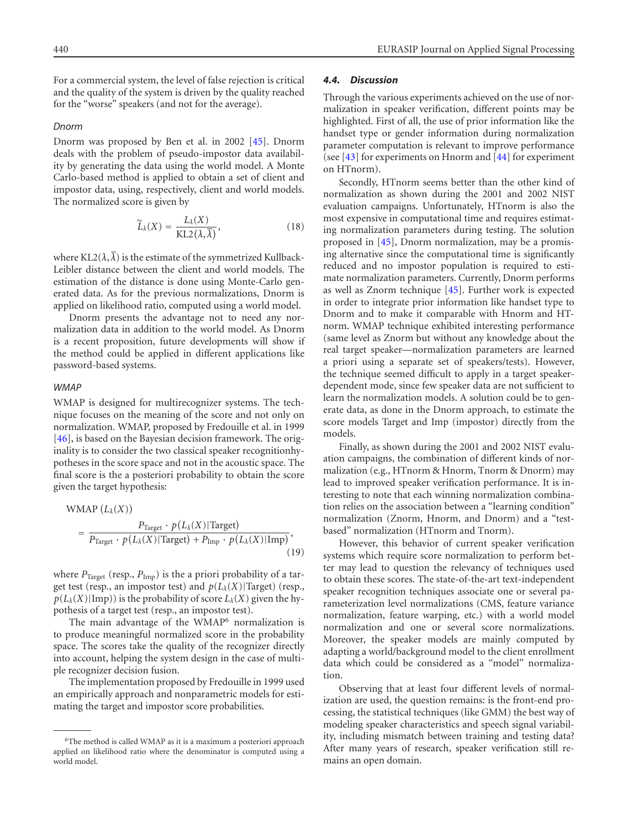For a commercial system, the level of false rejection is critical and the quality of the system is driven by the quality reached for the "worse" speakers (and not for the average).

## *Dnorm*

Dnorm was proposed by Ben et al. in 2002 [\[45](#page-18-21)]. Dnorm deals with the problem of pseudo-impostor data availability by generating the data using the world model. A Monte Carlo-based method is applied to obtain a set of client and impostor data, using, respectively, client and world models. The normalized score is given by

$$
\widetilde{L}_{\lambda}(X) = \frac{L_{\lambda}(X)}{\mathrm{KL}(2(\lambda, \overline{\lambda})},\tag{18}
$$

where  $KL2(\lambda, \overline{\lambda})$  is the estimate of the symmetrized Kullback-Leibler distance between the client and world models. The estimation of the distance is done using Monte-Carlo generated data. As for the previous normalizations, Dnorm is applied on likelihood ratio, computed using a world model.

Dnorm presents the advantage not to need any normalization data in addition to the world model. As Dnorm is a recent proposition, future developments will show if the method could be applied in different applications like password-based systems.

#### *WMAP*

WMAP is designed for multirecognizer systems. The technique focuses on the meaning of the score and not only on normalization. WMAP, proposed by Fredouille et al. in 1999 [\[46](#page-18-22)], is based on the Bayesian decision framework. The originality is to consider the two classical speaker recognitionhypotheses in the score space and not in the acoustic space. The final score is the a posteriori probability to obtain the score given the target hypothesis:

WMAP 
$$
(L_{\lambda}(X))
$$
  
= 
$$
\frac{P_{Target} \cdot p(L_{\lambda}(X)|Target)}{P_{Target} \cdot p(L_{\lambda}(X)|Target) + P_{Imp} \cdot p(L_{\lambda}(X)|Imp)},
$$
(19)

where  $P_{\text{Target}}$  (resp.,  $P_{\text{Imp}}$ ) is the a priori probability of a target test (resp., an impostor test) and  $p(L_\lambda(X) | \text{Target})$  (resp.,  $p(L_\lambda(X)|\text{Imp})$ ) is the probability of score  $L_\lambda(X)$  given the hypothesis of a target test (resp., an impostor test).

The main advantage of the WMAP<sup>6</sup> normalization is to produce meaningful normalized score in the probability space. The scores take the quality of the recognizer directly into account, helping the system design in the case of multiple recognizer decision fusion.

The implementation proposed by Fredouille in 1999 used an empirically approach and nonparametric models for estimating the target and impostor score probabilities.

#### *4.4. Discussion*

Through the various experiments achieved on the use of normalization in speaker verification, different points may be highlighted. First of all, the use of prior information like the handset type or gender information during normalization parameter computation is relevant to improve performance (see  $[43]$  for experiments on Hnorm and  $[44]$  $[44]$  for experiment on HTnorm).

Secondly, HTnorm seems better than the other kind of normalization as shown during the 2001 and 2002 NIST evaluation campaigns. Unfortunately, HTnorm is also the most expensive in computational time and requires estimating normalization parameters during testing. The solution proposed in [\[45\]](#page-18-21), Dnorm normalization, may be a promising alternative since the computational time is significantly reduced and no impostor population is required to estimate normalization parameters. Currently, Dnorm performs as well as Znorm technique [\[45](#page-18-21)]. Further work is expected in order to integrate prior information like handset type to Dnorm and to make it comparable with Hnorm and HTnorm. WMAP technique exhibited interesting performance (same level as Znorm but without any knowledge about the real target speaker—normalization parameters are learned a priori using a separate set of speakers/tests). However, the technique seemed difficult to apply in a target speakerdependent mode, since few speaker data are not sufficient to learn the normalization models. A solution could be to generate data, as done in the Dnorm approach, to estimate the score models Target and Imp (impostor) directly from the models.

Finally, as shown during the 2001 and 2002 NIST evaluation campaigns, the combination of different kinds of normalization (e.g., HTnorm & Hnorm, Tnorm & Dnorm) may lead to improved speaker verification performance. It is interesting to note that each winning normalization combination relies on the association between a "learning condition" normalization (Znorm, Hnorm, and Dnorm) and a "testbased" normalization (HTnorm and Tnorm).

However, this behavior of current speaker verification systems which require score normalization to perform better may lead to question the relevancy of techniques used to obtain these scores. The state-of-the-art text-independent speaker recognition techniques associate one or several parameterization level normalizations (CMS, feature variance normalization, feature warping, etc.) with a world model normalization and one or several score normalizations. Moreover, the speaker models are mainly computed by adapting a world/background model to the client enrollment data which could be considered as a "model" normalization.

Observing that at least four different levels of normalization are used, the question remains: is the front-end processing, the statistical techniques (like GMM) the best way of modeling speaker characteristics and speech signal variability, including mismatch between training and testing data? After many years of research, speaker verification still remains an open domain.

<sup>6</sup>The method is called WMAP as it is a maximum a posteriori approach applied on likelihood ratio where the denominator is computed using a world model.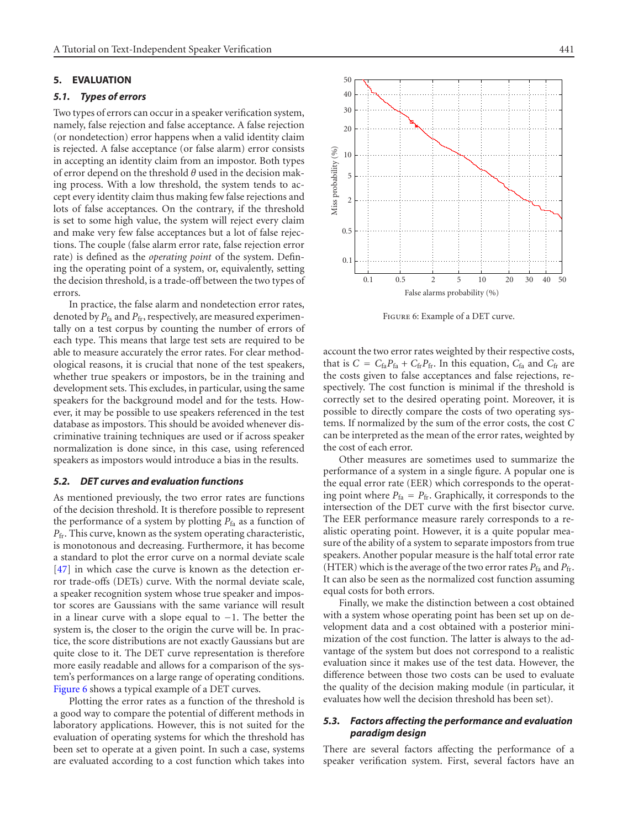## <span id="page-11-0"></span>**5. EVALUATION**

# *5.1. Types of errors*

Two types of errors can occur in a speaker verification system, namely, false rejection and false acceptance. A false rejection (or nondetection) error happens when a valid identity claim is rejected. A false acceptance (or false alarm) error consists in accepting an identity claim from an impostor. Both types of error depend on the threshold *θ* used in the decision making process. With a low threshold, the system tends to accept every identity claim thus making few false rejections and lots of false acceptances. On the contrary, if the threshold is set to some high value, the system will reject every claim and make very few false acceptances but a lot of false rejections. The couple (false alarm error rate, false rejection error rate) is defined as the *operating point* of the system. Defining the operating point of a system, or, equivalently, setting the decision threshold, is a trade-off between the two types of errors.

In practice, the false alarm and nondetection error rates, denoted by  $P_{fa}$  and  $P_{fr}$ , respectively, are measured experimentally on a test corpus by counting the number of errors of each type. This means that large test sets are required to be able to measure accurately the error rates. For clear methodological reasons, it is crucial that none of the test speakers, whether true speakers or impostors, be in the training and development sets. This excludes, in particular, using the same speakers for the background model and for the tests. However, it may be possible to use speakers referenced in the test database as impostors. This should be avoided whenever discriminative training techniques are used or if across speaker normalization is done since, in this case, using referenced speakers as impostors would introduce a bias in the results.

# *5.2. DET curves and evaluation functions*

As mentioned previously, the two error rates are functions of the decision threshold. It is therefore possible to represent the performance of a system by plotting  $P_{fa}$  as a function of *P*fr. This curve, known as the system operating characteristic, is monotonous and decreasing. Furthermore, it has become a standard to plot the error curve on a normal deviate scale [\[47](#page-18-23)] in which case the curve is known as the detection error trade-offs (DETs) curve. With the normal deviate scale, a speaker recognition system whose true speaker and impostor scores are Gaussians with the same variance will result in a linear curve with a slope equal to −1. The better the system is, the closer to the origin the curve will be. In practice, the score distributions are not exactly Gaussians but are quite close to it. The DET curve representation is therefore more easily readable and allows for a comparison of the system's performances on a large range of operating conditions. [Figure 6](#page-11-1) shows a typical example of a DET curves.

Plotting the error rates as a function of the threshold is a good way to compare the potential of different methods in laboratory applications. However, this is not suited for the evaluation of operating systems for which the threshold has been set to operate at a given point. In such a case, systems are evaluated according to a cost function which takes into



Figure 6: Example of a DET curve.

<span id="page-11-1"></span>account the two error rates weighted by their respective costs, that is  $C = C_{fa}P_{fa} + C_{fr}P_{fr}$ . In this equation,  $C_{fa}$  and  $C_{fr}$  are the costs given to false acceptances and false rejections, respectively. The cost function is minimal if the threshold is correctly set to the desired operating point. Moreover, it is possible to directly compare the costs of two operating systems. If normalized by the sum of the error costs, the cost *C* can be interpreted as the mean of the error rates, weighted by the cost of each error.

Other measures are sometimes used to summarize the performance of a system in a single figure. A popular one is the equal error rate (EER) which corresponds to the operating point where  $P_{fa} = P_{fr}$ . Graphically, it corresponds to the intersection of the DET curve with the first bisector curve. The EER performance measure rarely corresponds to a realistic operating point. However, it is a quite popular measure of the ability of a system to separate impostors from true speakers. Another popular measure is the half total error rate (HTER) which is the average of the two error rates  $P_{fa}$  and  $P_{fr}$ . It can also be seen as the normalized cost function assuming equal costs for both errors.

Finally, we make the distinction between a cost obtained with a system whose operating point has been set up on development data and a cost obtained with a posterior minimization of the cost function. The latter is always to the advantage of the system but does not correspond to a realistic evaluation since it makes use of the test data. However, the difference between those two costs can be used to evaluate the quality of the decision making module (in particular, it evaluates how well the decision threshold has been set).

# *5.3. Factors affecting the performance and evaluation paradigm design*

There are several factors affecting the performance of a speaker verification system. First, several factors have an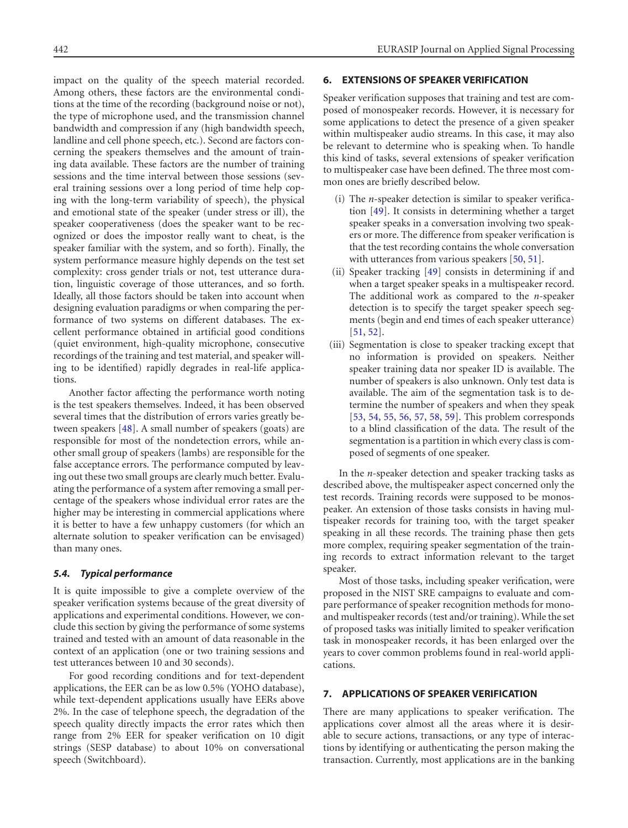impact on the quality of the speech material recorded. Among others, these factors are the environmental conditions at the time of the recording (background noise or not), the type of microphone used, and the transmission channel bandwidth and compression if any (high bandwidth speech, landline and cell phone speech, etc.). Second are factors concerning the speakers themselves and the amount of training data available. These factors are the number of training sessions and the time interval between those sessions (several training sessions over a long period of time help coping with the long-term variability of speech), the physical and emotional state of the speaker (under stress or ill), the speaker cooperativeness (does the speaker want to be recognized or does the impostor really want to cheat, is the speaker familiar with the system, and so forth). Finally, the system performance measure highly depends on the test set complexity: cross gender trials or not, test utterance duration, linguistic coverage of those utterances, and so forth. Ideally, all those factors should be taken into account when designing evaluation paradigms or when comparing the performance of two systems on different databases. The excellent performance obtained in artificial good conditions (quiet environment, high-quality microphone, consecutive recordings of the training and test material, and speaker willing to be identified) rapidly degrades in real-life applications.

Another factor affecting the performance worth noting is the test speakers themselves. Indeed, it has been observed several times that the distribution of errors varies greatly between speakers [\[48](#page-18-24)]. A small number of speakers (goats) are responsible for most of the nondetection errors, while another small group of speakers (lambs) are responsible for the false acceptance errors. The performance computed by leaving out these two small groups are clearly much better. Evaluating the performance of a system after removing a small percentage of the speakers whose individual error rates are the higher may be interesting in commercial applications where it is better to have a few unhappy customers (for which an alternate solution to speaker verification can be envisaged) than many ones.

# *5.4. Typical performance*

It is quite impossible to give a complete overview of the speaker verification systems because of the great diversity of applications and experimental conditions. However, we conclude this section by giving the performance of some systems trained and tested with an amount of data reasonable in the context of an application (one or two training sessions and test utterances between 10 and 30 seconds).

For good recording conditions and for text-dependent applications, the EER can be as low 0.5% (YOHO database), while text-dependent applications usually have EERs above 2%. In the case of telephone speech, the degradation of the speech quality directly impacts the error rates which then range from 2% EER for speaker verification on 10 digit strings (SESP database) to about 10% on conversational speech (Switchboard).

# <span id="page-12-0"></span>**6. EXTENSIONS OF SPEAKER VERIFICATION**

Speaker verification supposes that training and test are composed of monospeaker records. However, it is necessary for some applications to detect the presence of a given speaker within multispeaker audio streams. In this case, it may also be relevant to determine who is speaking when. To handle this kind of tasks, several extensions of speaker verification to multispeaker case have been defined. The three most common ones are briefly described below.

- (i) The *n*-speaker detection is similar to speaker verification [\[49\]](#page-18-25). It consists in determining whether a target speaker speaks in a conversation involving two speakers or more. The difference from speaker verification is that the test recording contains the whole conversation with utterances from various speakers [\[50,](#page-18-26) [51](#page-18-27)].
- (ii) Speaker tracking [\[49](#page-18-25)] consists in determining if and when a target speaker speaks in a multispeaker record. The additional work as compared to the *n*-speaker detection is to specify the target speaker speech segments (begin and end times of each speaker utterance)  $[51, 52]$  $[51, 52]$  $[51, 52]$  $[51, 52]$ .
- (iii) Segmentation is close to speaker tracking except that no information is provided on speakers. Neither speaker training data nor speaker ID is available. The number of speakers is also unknown. Only test data is available. The aim of the segmentation task is to determine the number of speakers and when they speak [\[53](#page-18-29), [54,](#page-18-30) [55](#page-18-31), [56,](#page-19-0) [57,](#page-19-1) [58](#page-19-2), [59\]](#page-19-3). This problem corresponds to a blind classification of the data. The result of the segmentation is a partition in which every class is composed of segments of one speaker.

In the *n*-speaker detection and speaker tracking tasks as described above, the multispeaker aspect concerned only the test records. Training records were supposed to be monospeaker. An extension of those tasks consists in having multispeaker records for training too, with the target speaker speaking in all these records. The training phase then gets more complex, requiring speaker segmentation of the training records to extract information relevant to the target speaker.

Most of those tasks, including speaker verification, were proposed in the NIST SRE campaigns to evaluate and compare performance of speaker recognition methods for monoand multispeaker records (test and/or training). While the set of proposed tasks was initially limited to speaker verification task in monospeaker records, it has been enlarged over the years to cover common problems found in real-world applications.

# <span id="page-12-1"></span>**7. APPLICATIONS OF SPEAKER VERIFICATION**

There are many applications to speaker verification. The applications cover almost all the areas where it is desirable to secure actions, transactions, or any type of interactions by identifying or authenticating the person making the transaction. Currently, most applications are in the banking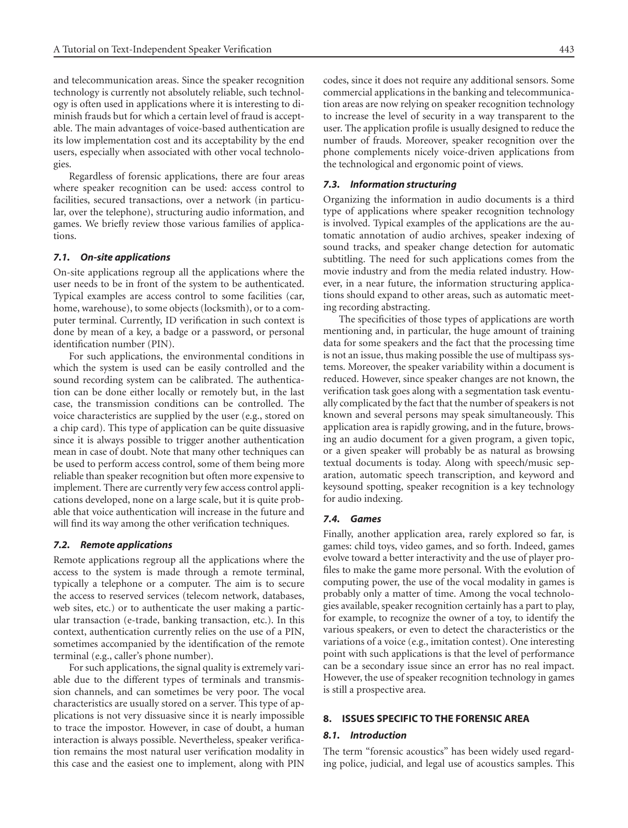and telecommunication areas. Since the speaker recognition technology is currently not absolutely reliable, such technology is often used in applications where it is interesting to diminish frauds but for which a certain level of fraud is acceptable. The main advantages of voice-based authentication are its low implementation cost and its acceptability by the end users, especially when associated with other vocal technologies.

Regardless of forensic applications, there are four areas where speaker recognition can be used: access control to facilities, secured transactions, over a network (in particular, over the telephone), structuring audio information, and games. We briefly review those various families of applications.

# *7.1. On-site applications*

On-site applications regroup all the applications where the user needs to be in front of the system to be authenticated. Typical examples are access control to some facilities (car, home, warehouse), to some objects (locksmith), or to a computer terminal. Currently, ID verification in such context is done by mean of a key, a badge or a password, or personal identification number (PIN).

For such applications, the environmental conditions in which the system is used can be easily controlled and the sound recording system can be calibrated. The authentication can be done either locally or remotely but, in the last case, the transmission conditions can be controlled. The voice characteristics are supplied by the user (e.g., stored on a chip card). This type of application can be quite dissuasive since it is always possible to trigger another authentication mean in case of doubt. Note that many other techniques can be used to perform access control, some of them being more reliable than speaker recognition but often more expensive to implement. There are currently very few access control applications developed, none on a large scale, but it is quite probable that voice authentication will increase in the future and will find its way among the other verification techniques.

# *7.2. Remote applications*

Remote applications regroup all the applications where the access to the system is made through a remote terminal, typically a telephone or a computer. The aim is to secure the access to reserved services (telecom network, databases, web sites, etc.) or to authenticate the user making a particular transaction (e-trade, banking transaction, etc.). In this context, authentication currently relies on the use of a PIN, sometimes accompanied by the identification of the remote terminal (e.g., caller's phone number).

For such applications, the signal quality is extremely variable due to the different types of terminals and transmission channels, and can sometimes be very poor. The vocal characteristics are usually stored on a server. This type of applications is not very dissuasive since it is nearly impossible to trace the impostor. However, in case of doubt, a human interaction is always possible. Nevertheless, speaker verification remains the most natural user verification modality in this case and the easiest one to implement, along with PIN

codes, since it does not require any additional sensors. Some commercial applications in the banking and telecommunication areas are now relying on speaker recognition technology to increase the level of security in a way transparent to the user. The application profile is usually designed to reduce the number of frauds. Moreover, speaker recognition over the phone complements nicely voice-driven applications from the technological and ergonomic point of views.

# *7.3. Information structuring*

Organizing the information in audio documents is a third type of applications where speaker recognition technology is involved. Typical examples of the applications are the automatic annotation of audio archives, speaker indexing of sound tracks, and speaker change detection for automatic subtitling. The need for such applications comes from the movie industry and from the media related industry. However, in a near future, the information structuring applications should expand to other areas, such as automatic meeting recording abstracting.

The specificities of those types of applications are worth mentioning and, in particular, the huge amount of training data for some speakers and the fact that the processing time is not an issue, thus making possible the use of multipass systems. Moreover, the speaker variability within a document is reduced. However, since speaker changes are not known, the verification task goes along with a segmentation task eventually complicated by the fact that the number of speakers is not known and several persons may speak simultaneously. This application area is rapidly growing, and in the future, browsing an audio document for a given program, a given topic, or a given speaker will probably be as natural as browsing textual documents is today. Along with speech/music separation, automatic speech transcription, and keyword and keysound spotting, speaker recognition is a key technology for audio indexing.

# *7.4. Games*

Finally, another application area, rarely explored so far, is games: child toys, video games, and so forth. Indeed, games evolve toward a better interactivity and the use of player profiles to make the game more personal. With the evolution of computing power, the use of the vocal modality in games is probably only a matter of time. Among the vocal technologies available, speaker recognition certainly has a part to play, for example, to recognize the owner of a toy, to identify the various speakers, or even to detect the characteristics or the variations of a voice (e.g., imitation contest). One interesting point with such applications is that the level of performance can be a secondary issue since an error has no real impact. However, the use of speaker recognition technology in games is still a prospective area.

# <span id="page-13-0"></span>**8. ISSUES SPECIFIC TO THE FORENSIC AREA**

## *8.1. Introduction*

The term "forensic acoustics" has been widely used regarding police, judicial, and legal use of acoustics samples. This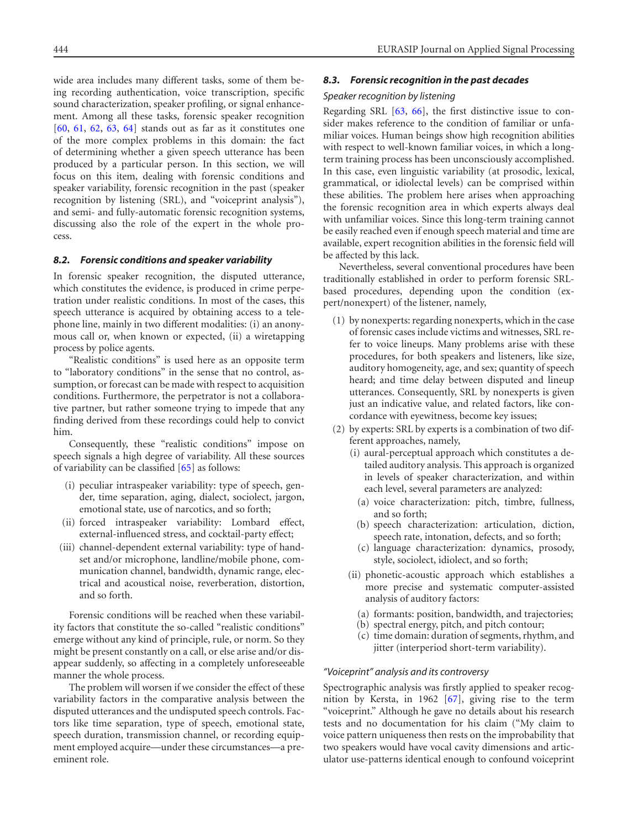wide area includes many different tasks, some of them being recording authentication, voice transcription, specific sound characterization, speaker profiling, or signal enhancement. Among all these tasks, forensic speaker recognition  $[60, 61, 62, 63, 64]$  $[60, 61, 62, 63, 64]$  $[60, 61, 62, 63, 64]$  $[60, 61, 62, 63, 64]$  $[60, 61, 62, 63, 64]$  $[60, 61, 62, 63, 64]$  $[60, 61, 62, 63, 64]$  $[60, 61, 62, 63, 64]$  $[60, 61, 62, 63, 64]$  $[60, 61, 62, 63, 64]$  stands out as far as it constitutes one of the more complex problems in this domain: the fact of determining whether a given speech utterance has been produced by a particular person. In this section, we will focus on this item, dealing with forensic conditions and speaker variability, forensic recognition in the past (speaker recognition by listening (SRL), and "voiceprint analysis"), and semi- and fully-automatic forensic recognition systems, discussing also the role of the expert in the whole process.

# *8.2. Forensic conditions and speaker variability*

In forensic speaker recognition, the disputed utterance, which constitutes the evidence, is produced in crime perpetration under realistic conditions. In most of the cases, this speech utterance is acquired by obtaining access to a telephone line, mainly in two different modalities: (i) an anonymous call or, when known or expected, (ii) a wiretapping process by police agents.

"Realistic conditions" is used here as an opposite term to "laboratory conditions" in the sense that no control, assumption, or forecast can be made with respect to acquisition conditions. Furthermore, the perpetrator is not a collaborative partner, but rather someone trying to impede that any finding derived from these recordings could help to convict him.

Consequently, these "realistic conditions" impose on speech signals a high degree of variability. All these sources of variability can be classified [\[65\]](#page-19-9) as follows:

- (i) peculiar intraspeaker variability: type of speech, gender, time separation, aging, dialect, sociolect, jargon, emotional state, use of narcotics, and so forth;
- (ii) forced intraspeaker variability: Lombard effect, external-influenced stress, and cocktail-party effect;
- (iii) channel-dependent external variability: type of handset and/or microphone, landline/mobile phone, communication channel, bandwidth, dynamic range, electrical and acoustical noise, reverberation, distortion, and so forth.

Forensic conditions will be reached when these variability factors that constitute the so-called "realistic conditions" emerge without any kind of principle, rule, or norm. So they might be present constantly on a call, or else arise and/or disappear suddenly, so affecting in a completely unforeseeable manner the whole process.

The problem will worsen if we consider the effect of these variability factors in the comparative analysis between the disputed utterances and the undisputed speech controls. Factors like time separation, type of speech, emotional state, speech duration, transmission channel, or recording equipment employed acquire—under these circumstances—a preeminent role.

#### *8.3. Forensic recognition in the past decades*

## *Speaker recognition by listening*

Regarding SRL [\[63](#page-19-7), [66](#page-19-10)], the first distinctive issue to consider makes reference to the condition of familiar or unfamiliar voices. Human beings show high recognition abilities with respect to well-known familiar voices, in which a longterm training process has been unconsciously accomplished. In this case, even linguistic variability (at prosodic, lexical, grammatical, or idiolectal levels) can be comprised within these abilities. The problem here arises when approaching the forensic recognition area in which experts always deal with unfamiliar voices. Since this long-term training cannot be easily reached even if enough speech material and time are available, expert recognition abilities in the forensic field will be affected by this lack.

Nevertheless, several conventional procedures have been traditionally established in order to perform forensic SRLbased procedures, depending upon the condition (expert/nonexpert) of the listener, namely,

- (1) by nonexperts: regarding nonexperts, which in the case of forensic cases include victims and witnesses, SRL refer to voice lineups. Many problems arise with these procedures, for both speakers and listeners, like size, auditory homogeneity, age, and sex; quantity of speech heard; and time delay between disputed and lineup utterances. Consequently, SRL by nonexperts is given just an indicative value, and related factors, like concordance with eyewitness, become key issues;
- (2) by experts: SRL by experts is a combination of two different approaches, namely,
	- (i) aural-perceptual approach which constitutes a detailed auditory analysis. This approach is organized in levels of speaker characterization, and within each level, several parameters are analyzed:
		- (a) voice characterization: pitch, timbre, fullness, and so forth;
	- (b) speech characterization: articulation, diction, speech rate, intonation, defects, and so forth;
	- (c) language characterization: dynamics, prosody, style, sociolect, idiolect, and so forth;
	- (ii) phonetic-acoustic approach which establishes a more precise and systematic computer-assisted analysis of auditory factors:
		- (a) formants: position, bandwidth, and trajectories;
		- (b) spectral energy, pitch, and pitch contour;
		- (c) time domain: duration of segments, rhythm, and jitter (interperiod short-term variability).

# *"Voiceprint" analysis and its controversy*

Spectrographic analysis was firstly applied to speaker recognition by Kersta, in 1962 [\[67\]](#page-19-11), giving rise to the term "voiceprint." Although he gave no details about his research tests and no documentation for his claim ("My claim to voice pattern uniqueness then rests on the improbability that two speakers would have vocal cavity dimensions and articulator use-patterns identical enough to confound voiceprint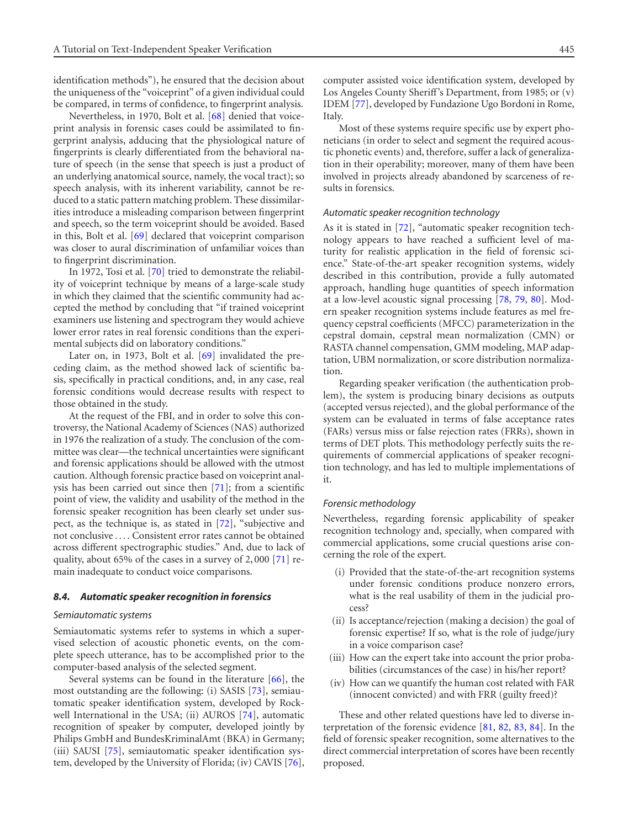identification methods"), he ensured that the decision about the uniqueness of the "voiceprint" of a given individual could be compared, in terms of confidence, to fingerprint analysis.

Nevertheless, in 1970, Bolt et al. [\[68\]](#page-19-12) denied that voiceprint analysis in forensic cases could be assimilated to fingerprint analysis, adducing that the physiological nature of fingerprints is clearly differentiated from the behavioral nature of speech (in the sense that speech is just a product of an underlying anatomical source, namely, the vocal tract); so speech analysis, with its inherent variability, cannot be reduced to a static pattern matching problem. These dissimilarities introduce a misleading comparison between fingerprint and speech, so the term voiceprint should be avoided. Based in this, Bolt et al. [\[69\]](#page-19-13) declared that voiceprint comparison was closer to aural discrimination of unfamiliar voices than to fingerprint discrimination.

In 1972, Tosi et al. [\[70](#page-19-14)] tried to demonstrate the reliability of voiceprint technique by means of a large-scale study in which they claimed that the scientific community had accepted the method by concluding that "if trained voiceprint examiners use listening and spectrogram they would achieve lower error rates in real forensic conditions than the experimental subjects did on laboratory conditions."

Later on, in 1973, Bolt et al. [\[69\]](#page-19-13) invalidated the preceding claim, as the method showed lack of scientific basis, specifically in practical conditions, and, in any case, real forensic conditions would decrease results with respect to those obtained in the study.

At the request of the FBI, and in order to solve this controversy, the National Academy of Sciences (NAS) authorized in 1976 the realization of a study. The conclusion of the committee was clear—the technical uncertainties were significant and forensic applications should be allowed with the utmost caution. Although forensic practice based on voiceprint analysis has been carried out since then [\[71\]](#page-19-15); from a scientific point of view, the validity and usability of the method in the forensic speaker recognition has been clearly set under suspect, as the technique is, as stated in [\[72](#page-19-16)], "subjective and not conclusive *...* . Consistent error rates cannot be obtained across different spectrographic studies." And, due to lack of quality, about 65% of the cases in a survey of 2, 000 [\[71](#page-19-15)] remain inadequate to conduct voice comparisons.

#### *8.4. Automatic speaker recognition in forensics*

#### *Semiautomatic systems*

Semiautomatic systems refer to systems in which a supervised selection of acoustic phonetic events, on the complete speech utterance, has to be accomplished prior to the computer-based analysis of the selected segment.

Several systems can be found in the literature [\[66](#page-19-10)], the most outstanding are the following: (i) SASIS [\[73](#page-19-17)], semiautomatic speaker identification system, developed by Rock-well International in the USA; (ii) AUROS [\[74](#page-19-18)], automatic recognition of speaker by computer, developed jointly by Philips GmbH and BundesKriminalAmt (BKA) in Germany; (iii) SAUSI [\[75\]](#page-19-19), semiautomatic speaker identification system, developed by the University of Florida; (iv) CAVIS [\[76\]](#page-19-20),

computer assisted voice identification system, developed by Los Angeles County Sheriff's Department, from 1985; or (v) IDEM [\[77](#page-19-21)], developed by Fundazione Ugo Bordoni in Rome, Italy.

Most of these systems require specific use by expert phoneticians (in order to select and segment the required acoustic phonetic events) and, therefore, suffer a lack of generalization in their operability; moreover, many of them have been involved in projects already abandoned by scarceness of results in forensics.

## *Automatic speaker recognition technology*

As it is stated in [\[72\]](#page-19-16), "automatic speaker recognition technology appears to have reached a sufficient level of maturity for realistic application in the field of forensic science." State-of-the-art speaker recognition systems, widely described in this contribution, provide a fully automated approach, handling huge quantities of speech information at a low-level acoustic signal processing [\[78,](#page-19-22) [79,](#page-19-23) [80](#page-19-24)]. Modern speaker recognition systems include features as mel frequency cepstral coefficients (MFCC) parameterization in the cepstral domain, cepstral mean normalization (CMN) or RASTA channel compensation, GMM modeling, MAP adaptation, UBM normalization, or score distribution normalization.

Regarding speaker verification (the authentication problem), the system is producing binary decisions as outputs (accepted versus rejected), and the global performance of the system can be evaluated in terms of false acceptance rates (FARs) versus miss or false rejection rates (FRRs), shown in terms of DET plots. This methodology perfectly suits the requirements of commercial applications of speaker recognition technology, and has led to multiple implementations of it.

#### *Forensic methodology*

Nevertheless, regarding forensic applicability of speaker recognition technology and, specially, when compared with commercial applications, some crucial questions arise concerning the role of the expert.

- (i) Provided that the state-of-the-art recognition systems under forensic conditions produce nonzero errors, what is the real usability of them in the judicial process?
- (ii) Is acceptance/rejection (making a decision) the goal of forensic expertise? If so, what is the role of judge/jury in a voice comparison case?
- (iii) How can the expert take into account the prior probabilities (circumstances of the case) in his/her report?
- (iv) How can we quantify the human cost related with FAR (innocent convicted) and with FRR (guilty freed)?

These and other related questions have led to diverse interpretation of the forensic evidence [\[81](#page-19-25), [82](#page-19-26), [83](#page-19-27), [84\]](#page-19-28). In the field of forensic speaker recognition, some alternatives to the direct commercial interpretation of scores have been recently proposed.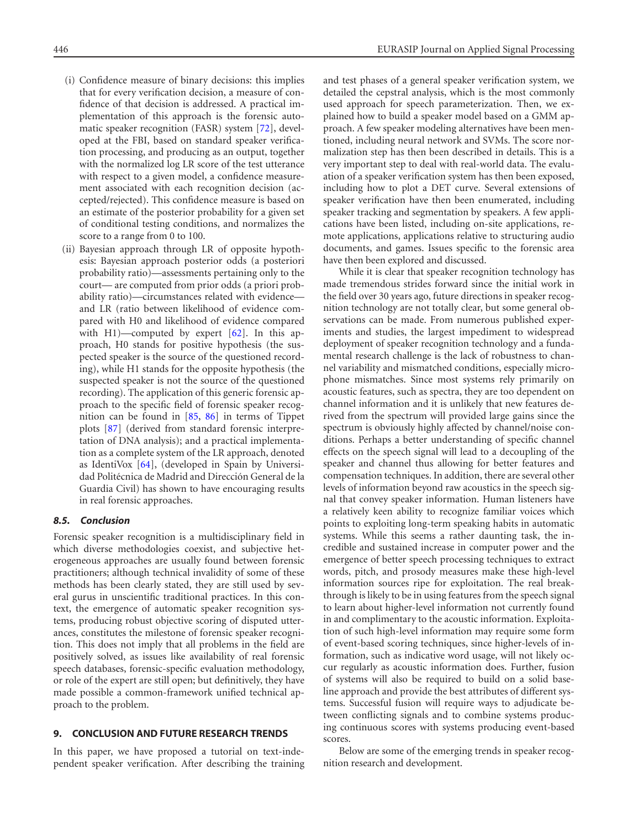- (i) Confidence measure of binary decisions: this implies that for every verification decision, a measure of confidence of that decision is addressed. A practical implementation of this approach is the forensic automatic speaker recognition (FASR) system [\[72\]](#page-19-16), developed at the FBI, based on standard speaker verification processing, and producing as an output, together with the normalized log LR score of the test utterance with respect to a given model, a confidence measurement associated with each recognition decision (accepted/rejected). This confidence measure is based on an estimate of the posterior probability for a given set of conditional testing conditions, and normalizes the score to a range from 0 to 100.
- (ii) Bayesian approach through LR of opposite hypothesis: Bayesian approach posterior odds (a posteriori probability ratio)—assessments pertaining only to the court— are computed from prior odds (a priori probability ratio)—circumstances related with evidence and LR (ratio between likelihood of evidence compared with H0 and likelihood of evidence compared with H1)—computed by expert  $[62]$  $[62]$ . In this approach, H0 stands for positive hypothesis (the suspected speaker is the source of the questioned recording), while H1 stands for the opposite hypothesis (the suspected speaker is not the source of the questioned recording). The application of this generic forensic approach to the specific field of forensic speaker recognition can be found in [\[85,](#page-19-29) [86\]](#page-19-30) in terms of Tippet plots [\[87\]](#page-19-31) (derived from standard forensic interpretation of DNA analysis); and a practical implementation as a complete system of the LR approach, denoted as IdentiVox [\[64\]](#page-19-8), (developed in Spain by Universidad Politécnica de Madrid and Dirección General de la Guardia Civil) has shown to have encouraging results in real forensic approaches.

## *8.5. Conclusion*

Forensic speaker recognition is a multidisciplinary field in which diverse methodologies coexist, and subjective heterogeneous approaches are usually found between forensic practitioners; although technical invalidity of some of these methods has been clearly stated, they are still used by several gurus in unscientific traditional practices. In this context, the emergence of automatic speaker recognition systems, producing robust objective scoring of disputed utterances, constitutes the milestone of forensic speaker recognition. This does not imply that all problems in the field are positively solved, as issues like availability of real forensic speech databases, forensic-specific evaluation methodology, or role of the expert are still open; but definitively, they have made possible a common-framework unified technical approach to the problem.

#### <span id="page-16-0"></span>**9. CONCLUSION AND FUTURE RESEARCH TRENDS**

In this paper, we have proposed a tutorial on text-independent speaker verification. After describing the training

and test phases of a general speaker verification system, we detailed the cepstral analysis, which is the most commonly used approach for speech parameterization. Then, we explained how to build a speaker model based on a GMM approach. A few speaker modeling alternatives have been mentioned, including neural network and SVMs. The score normalization step has then been described in details. This is a very important step to deal with real-world data. The evaluation of a speaker verification system has then been exposed, including how to plot a DET curve. Several extensions of speaker verification have then been enumerated, including speaker tracking and segmentation by speakers. A few applications have been listed, including on-site applications, remote applications, applications relative to structuring audio documents, and games. Issues specific to the forensic area have then been explored and discussed.

While it is clear that speaker recognition technology has made tremendous strides forward since the initial work in the field over 30 years ago, future directions in speaker recognition technology are not totally clear, but some general observations can be made. From numerous published experiments and studies, the largest impediment to widespread deployment of speaker recognition technology and a fundamental research challenge is the lack of robustness to channel variability and mismatched conditions, especially microphone mismatches. Since most systems rely primarily on acoustic features, such as spectra, they are too dependent on channel information and it is unlikely that new features derived from the spectrum will provided large gains since the spectrum is obviously highly affected by channel/noise conditions. Perhaps a better understanding of specific channel effects on the speech signal will lead to a decoupling of the speaker and channel thus allowing for better features and compensation techniques. In addition, there are several other levels of information beyond raw acoustics in the speech signal that convey speaker information. Human listeners have a relatively keen ability to recognize familiar voices which points to exploiting long-term speaking habits in automatic systems. While this seems a rather daunting task, the incredible and sustained increase in computer power and the emergence of better speech processing techniques to extract words, pitch, and prosody measures make these high-level information sources ripe for exploitation. The real breakthrough is likely to be in using features from the speech signal to learn about higher-level information not currently found in and complimentary to the acoustic information. Exploitation of such high-level information may require some form of event-based scoring techniques, since higher-levels of information, such as indicative word usage, will not likely occur regularly as acoustic information does. Further, fusion of systems will also be required to build on a solid baseline approach and provide the best attributes of different systems. Successful fusion will require ways to adjudicate between conflicting signals and to combine systems producing continuous scores with systems producing event-based scores.

Below are some of the emerging trends in speaker recognition research and development.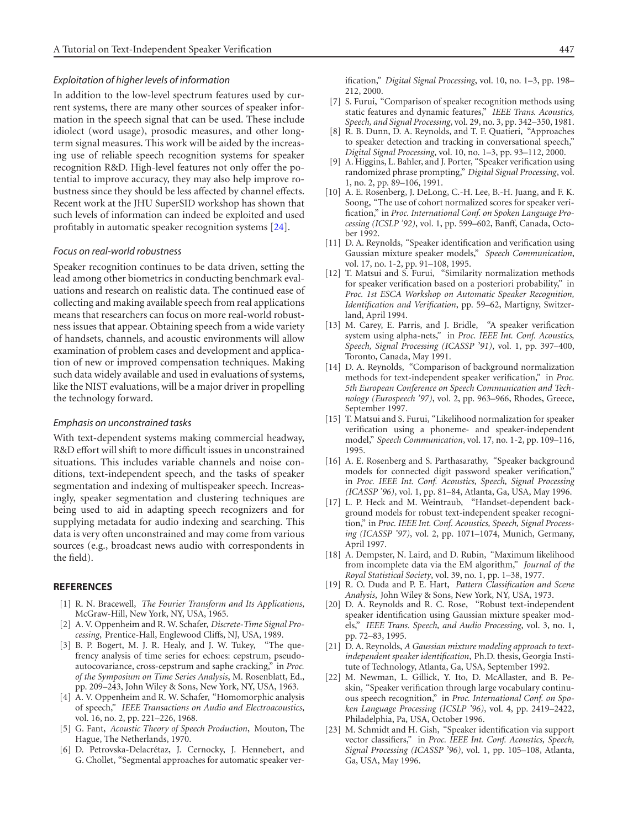# *Exploitation of higher levels of information*

In addition to the low-level spectrum features used by current systems, there are many other sources of speaker information in the speech signal that can be used. These include idiolect (word usage), prosodic measures, and other longterm signal measures. This work will be aided by the increasing use of reliable speech recognition systems for speaker recognition R&D. High-level features not only offer the potential to improve accuracy, they may also help improve robustness since they should be less affected by channel effects. Recent work at the JHU SuperSID workshop has shown that such levels of information can indeed be exploited and used profitably in automatic speaker recognition systems [\[24](#page-18-0)].

# *Focus on real-world robustness*

Speaker recognition continues to be data driven, setting the lead among other biometrics in conducting benchmark evaluations and research on realistic data. The continued ease of collecting and making available speech from real applications means that researchers can focus on more real-world robustness issues that appear. Obtaining speech from a wide variety of handsets, channels, and acoustic environments will allow examination of problem cases and development and application of new or improved compensation techniques. Making such data widely available and used in evaluations of systems, like the NIST evaluations, will be a major driver in propelling the technology forward.

#### *Emphasis on unconstrained tasks*

With text-dependent systems making commercial headway, R&D effort will shift to more difficult issues in unconstrained situations. This includes variable channels and noise conditions, text-independent speech, and the tasks of speaker segmentation and indexing of multispeaker speech. Increasingly, speaker segmentation and clustering techniques are being used to aid in adapting speech recognizers and for supplying metadata for audio indexing and searching. This data is very often unconstrained and may come from various sources (e.g., broadcast news audio with correspondents in the field).

#### <span id="page-17-0"></span>**REFERENCES**

- [1] R. N. Bracewell, *The Fourier Transform and Its Applications*, McGraw-Hill, New York, NY, USA, 1965.
- <span id="page-17-1"></span>[2] A. V. Oppenheim and R. W. Schafer, *Discrete-Time Signal Processing*, Prentice-Hall, Englewood Cliffs, NJ, USA, 1989.
- <span id="page-17-2"></span>[3] B. P. Bogert, M. J. R. Healy, and J. W. Tukey, "The quefrency analysis of time series for echoes: cepstrum, pseudoautocovariance, cross-cepstrum and saphe cracking," in *Proc. of the Symposium on Time Series Analysis*, M. Rosenblatt, Ed., pp. 209–243, John Wiley & Sons, New York, NY, USA, 1963.
- <span id="page-17-3"></span>[4] A. V. Oppenheim and R. W. Schafer, "Homomorphic analysis of speech," *IEEE Transactions on Audio and Electroacoustics*, vol. 16, no. 2, pp. 221–226, 1968.
- <span id="page-17-4"></span>[5] G. Fant, *Acoustic Theory of Speech Production*, Mouton, The Hague, The Netherlands, 1970.
- <span id="page-17-5"></span>[6] D. Petrovska-Delacrétaz, J. Cernocky, J. Hennebert, and G. Chollet, "Segmental approaches for automatic speaker ver-

ification," *Digital Signal Processing*, vol. 10, no. 1–3, pp. 198– 212, 2000.

- <span id="page-17-6"></span>[7] S. Furui, "Comparison of speaker recognition methods using static features and dynamic features," *IEEE Trans. Acoustics, Speech, and Signal Processing*, vol. 29, no. 3, pp. 342–350, 1981.
- <span id="page-17-7"></span>[8] R. B. Dunn, D. A. Reynolds, and T. F. Quatieri, "Approaches to speaker detection and tracking in conversational speech," *Digital Signal Processing*, vol. 10, no. 1–3, pp. 93–112, 2000.
- <span id="page-17-8"></span>[9] A. Higgins, L. Bahler, and J. Porter, "Speaker verification using randomized phrase prompting," *Digital Signal Processing*, vol. 1, no. 2, pp. 89–106, 1991.
- <span id="page-17-9"></span>[10] A. E. Rosenberg, J. DeLong, C.-H. Lee, B.-H. Juang, and F. K. Soong, "The use of cohort normalized scores for speaker verification," in *Proc. International Conf. on Spoken Language Processing (ICSLP '92)*, vol. 1, pp. 599–602, Banff, Canada, October 1992.
- <span id="page-17-10"></span>[11] D. A. Reynolds, "Speaker identification and verification using Gaussian mixture speaker models," *Speech Communication*, vol. 17, no. 1-2, pp. 91–108, 1995.
- <span id="page-17-11"></span>[12] T. Matsui and S. Furui, "Similarity normalization methods for speaker verification based on a posteriori probability," in *Proc. 1st ESCA Workshop on Automatic Speaker Recognition, Identification and Verification*, pp. 59–62, Martigny, Switzerland, April 1994.
- <span id="page-17-12"></span>[13] M. Carey, E. Parris, and J. Bridle, "A speaker verification system using alpha-nets," in *Proc. IEEE Int. Conf. Acoustics, Speech, Signal Processing (ICASSP '91)*, vol. 1, pp. 397–400, Toronto, Canada, May 1991.
- <span id="page-17-13"></span>[14] D. A. Reynolds, "Comparison of background normalization methods for text-independent speaker verification," in *Proc. 5th European Conference on Speech Communication and Technology (Eurospeech '97)*, vol. 2, pp. 963–966, Rhodes, Greece, September 1997.
- <span id="page-17-14"></span>[15] T. Matsui and S. Furui, "Likelihood normalization for speaker verification using a phoneme- and speaker-independent model," *Speech Communication*, vol. 17, no. 1-2, pp. 109–116, 1995.
- <span id="page-17-15"></span>[16] A. E. Rosenberg and S. Parthasarathy, "Speaker background models for connected digit password speaker verification," in *Proc. IEEE Int. Conf. Acoustics, Speech, Signal Processing (ICASSP '96)*, vol. 1, pp. 81–84, Atlanta, Ga, USA, May 1996.
- <span id="page-17-16"></span>[17] L. P. Heck and M. Weintraub, "Handset-dependent background models for robust text-independent speaker recognition," in *Proc. IEEE Int. Conf. Acoustics, Speech, Signal Processing (ICASSP '97)*, vol. 2, pp. 1071–1074, Munich, Germany, April 1997.
- <span id="page-17-17"></span>[18] A. Dempster, N. Laird, and D. Rubin, "Maximum likelihood from incomplete data via the EM algorithm," *Journal of the Royal Statistical Society*, vol. 39, no. 1, pp. 1–38, 1977.
- <span id="page-17-18"></span>[19] R. O. Duda and P. E. Hart, *Pattern Classification and Scene Analysis*, John Wiley & Sons, New York, NY, USA, 1973.
- <span id="page-17-19"></span>[20] D. A. Reynolds and R. C. Rose, "Robust text-independent speaker identification using Gaussian mixture speaker models," *IEEE Trans. Speech, and Audio Processing*, vol. 3, no. 1, pp. 72–83, 1995.
- <span id="page-17-20"></span>[21] D. A. Reynolds, *A Gaussian mixture modeling approach to textindependent speaker identification*, Ph.D. thesis, Georgia Institute of Technology, Atlanta, Ga, USA, September 1992.
- <span id="page-17-21"></span>[22] M. Newman, L. Gillick, Y. Ito, D. McAllaster, and B. Peskin, "Speaker verification through large vocabulary continuous speech recognition," in *Proc. International Conf. on Spoken Language Processing (ICSLP '96)*, vol. 4, pp. 2419–2422, Philadelphia, Pa, USA, October 1996.
- <span id="page-17-22"></span>[23] M. Schmidt and H. Gish, "Speaker identification via support vector classifiers," in *Proc. IEEE Int. Conf. Acoustics, Speech, Signal Processing (ICASSP '96)*, vol. 1, pp. 105–108, Atlanta, Ga, USA, May 1996.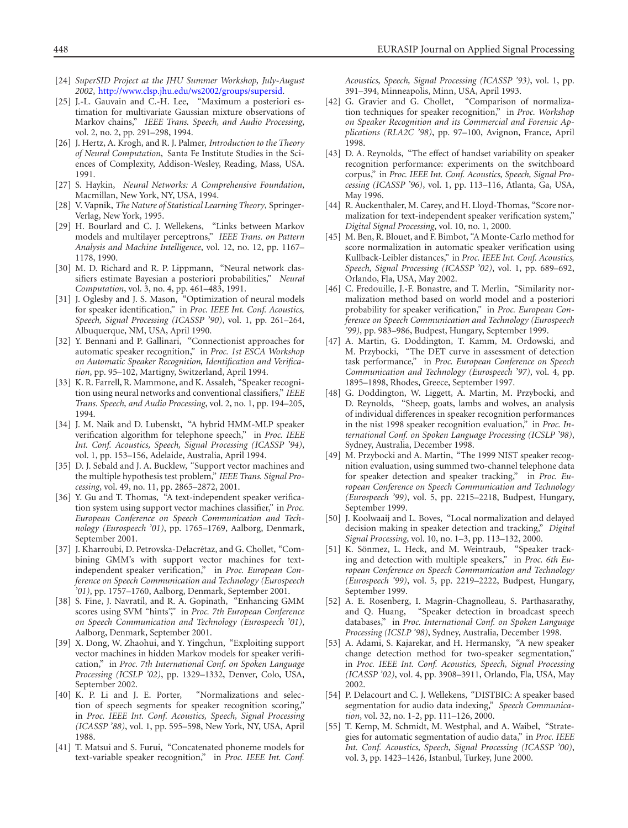- <span id="page-18-0"></span>[24] *SuperSID Project at the JHU Summer Workshop, July-August 2002*, [http://www.clsp.jhu.edu/ws2002/groups/supersid.](http://www.clsp.jhu.edu/ws2002/groups/supersid)
- <span id="page-18-1"></span>[25] J.-L. Gauvain and C.-H. Lee, "Maximum a posteriori estimation for multivariate Gaussian mixture observations of Markov chains," *IEEE Trans. Speech, and Audio Processing*, vol. 2, no. 2, pp. 291–298, 1994.
- <span id="page-18-2"></span>[26] J. Hertz, A. Krogh, and R. J. Palmer, *Introduction to the Theory of Neural Computation*, Santa Fe Institute Studies in the Sciences of Complexity, Addison-Wesley, Reading, Mass, USA. 1991.
- <span id="page-18-3"></span>[27] S. Haykin, *Neural Networks: A Comprehensive Foundation*, Macmillan, New York, NY, USA, 1994.
- <span id="page-18-4"></span>[28] V. Vapnik, *The Nature of Statistical Learning Theory*, Springer-Verlag, New York, 1995.
- <span id="page-18-5"></span>[29] H. Bourlard and C. J. Wellekens, "Links between Markov models and multilayer perceptrons," *IEEE Trans. on Pattern Analysis and Machine Intelligence*, vol. 12, no. 12, pp. 1167– 1178, 1990.
- <span id="page-18-6"></span>[30] M. D. Richard and R. P. Lippmann, "Neural network classifiers estimate Bayesian a posteriori probabilities," *Neural Computation*, vol. 3, no. 4, pp. 461–483, 1991.
- <span id="page-18-7"></span>[31] J. Oglesby and J. S. Mason, "Optimization of neural models for speaker identification," in *Proc. IEEE Int. Conf. Acoustics, Speech, Signal Processing (ICASSP '90)*, vol. 1, pp. 261–264, Albuquerque, NM, USA, April 1990.
- <span id="page-18-8"></span>[32] Y. Bennani and P. Gallinari, "Connectionist approaches for automatic speaker recognition," in *Proc. 1st ESCA Workshop on Automatic Speaker Recognition, Identification and Verification*, pp. 95–102, Martigny, Switzerland, April 1994.
- <span id="page-18-9"></span>[33] K. R. Farrell, R. Mammone, and K. Assaleh, "Speaker recognition using neural networks and conventional classifiers," *IEEE Trans. Speech, and Audio Processing*, vol. 2, no. 1, pp. 194–205, 1994.
- <span id="page-18-10"></span>[34] J. M. Naik and D. Lubenskt, "A hybrid HMM-MLP speaker verification algorithm for telephone speech," in *Proc. IEEE Int. Conf. Acoustics, Speech, Signal Processing (ICASSP '94)*, vol. 1, pp. 153–156, Adelaide, Australia, April 1994.
- <span id="page-18-11"></span>[35] D. J. Sebald and J. A. Bucklew, "Support vector machines and the multiple hypothesis test problem," *IEEE Trans. Signal Processing*, vol. 49, no. 11, pp. 2865–2872, 2001.
- <span id="page-18-12"></span>[36] Y. Gu and T. Thomas, "A text-independent speaker verification system using support vector machines classifier," in *Proc. European Conference on Speech Communication and Technology (Eurospeech '01)*, pp. 1765–1769, Aalborg, Denmark, September 2001.
- <span id="page-18-13"></span>[37] J. Kharroubi, D. Petrovska-Delacrétaz, and G. Chollet, "Combining GMM's with support vector machines for textindependent speaker verification," in *Proc. European Conference on Speech Communication and Technology (Eurospeech '01)*, pp. 1757–1760, Aalborg, Denmark, September 2001.
- <span id="page-18-14"></span>[38] S. Fine, J. Navratil, and R. A. Gopinath, "Enhancing GMM scores using SVM "hints"," in *Proc. 7th European Conference on Speech Communication and Technology (Eurospeech '01)*, Aalborg, Denmark, September 2001.
- <span id="page-18-15"></span>[39] X. Dong, W. Zhaohui, and Y. Yingchun, "Exploiting support vector machines in hidden Markov models for speaker verification," in *Proc. 7th International Conf. on Spoken Language Processing (ICSLP '02)*, pp. 1329–1332, Denver, Colo, USA, September 2002.
- <span id="page-18-16"></span>[40] K. P. Li and J. E. Porter, "Normalizations and selection of speech segments for speaker recognition scoring," in *Proc. IEEE Int. Conf. Acoustics, Speech, Signal Processing (ICASSP '88)*, vol. 1, pp. 595–598, New York, NY, USA, April 1988.
- <span id="page-18-17"></span>[41] T. Matsui and S. Furui, "Concatenated phoneme models for text-variable speaker recognition," in *Proc. IEEE Int. Conf.*

*Acoustics, Speech, Signal Processing (ICASSP '93)*, vol. 1, pp. 391–394, Minneapolis, Minn, USA, April 1993.

- <span id="page-18-18"></span>[42] G. Gravier and G. Chollet, "Comparison of normalization techniques for speaker recognition," in *Proc. Workshop on Speaker Recognition and its Commercial and Forensic Applications (RLA2C '98)*, pp. 97–100, Avignon, France, April 1998.
- <span id="page-18-19"></span>[43] D. A. Reynolds, "The effect of handset variability on speaker recognition performance: experiments on the switchboard corpus," in *Proc. IEEE Int. Conf. Acoustics, Speech, Signal Processing (ICASSP '96)*, vol. 1, pp. 113–116, Atlanta, Ga, USA, May 1996.
- <span id="page-18-20"></span>[44] R. Auckenthaler, M. Carey, and H. Lloyd-Thomas, "Score normalization for text-independent speaker verification system," *Digital Signal Processing*, vol. 10, no. 1, 2000.
- <span id="page-18-21"></span>[45] M. Ben, R. Blouet, and F. Bimbot, "A Monte-Carlo method for score normalization in automatic speaker verification using Kullback-Leibler distances," in *Proc. IEEE Int. Conf. Acoustics, Speech, Signal Processing (ICASSP '02)*, vol. 1, pp. 689–692, Orlando, Fla, USA, May 2002.
- <span id="page-18-22"></span>[46] C. Fredouille, J.-F. Bonastre, and T. Merlin, "Similarity normalization method based on world model and a posteriori probability for speaker verification," in *Proc. European Conference on Speech Communication and Technology (Eurospeech '99)*, pp. 983–986, Budpest, Hungary, September 1999.
- <span id="page-18-23"></span>[47] A. Martin, G. Doddington, T. Kamm, M. Ordowski, and M. Przybocki, "The DET curve in assessment of detection task performance," in *Proc. European Conference on Speech Communication and Technology (Eurospeech '97)*, vol. 4, pp. 1895–1898, Rhodes, Greece, September 1997.
- <span id="page-18-24"></span>[48] G. Doddington, W. Liggett, A. Martin, M. Przybocki, and D. Reynolds, "Sheep, goats, lambs and wolves, an analysis of individual differences in speaker recognition performances in the nist 1998 speaker recognition evaluation," in *Proc. International Conf. on Spoken Language Processing (ICSLP '98)*, Sydney, Australia, December 1998.
- <span id="page-18-25"></span>[49] M. Przybocki and A. Martin, "The 1999 NIST speaker recognition evaluation, using summed two-channel telephone data for speaker detection and speaker tracking," in *Proc. European Conference on Speech Communication and Technology (Eurospeech '99)*, vol. 5, pp. 2215–2218, Budpest, Hungary, September 1999.
- <span id="page-18-26"></span>[50] J. Koolwaaij and L. Boves, "Local normalization and delayed decision making in speaker detection and tracking," *Digital Signal Processing*, vol. 10, no. 1–3, pp. 113–132, 2000.
- <span id="page-18-27"></span>[51] K. Sönmez, L. Heck, and M. Weintraub, "Speaker tracking and detection with multiple speakers," in *Proc. 6th European Conference on Speech Communication and Technology (Eurospeech '99)*, vol. 5, pp. 2219–2222, Budpest, Hungary, September 1999.
- <span id="page-18-28"></span>[52] A. E. Rosenberg, I. Magrin-Chagnolleau, S. Parthasarathy, and Q. Huang, "Speaker detection in broadcast speech databases," in *Proc. International Conf. on Spoken Language Processing (ICSLP '98)*, Sydney, Australia, December 1998.
- <span id="page-18-29"></span>[53] A. Adami, S. Kajarekar, and H. Hermansky, "A new speaker change detection method for two-speaker segmentation," in *Proc. IEEE Int. Conf. Acoustics, Speech, Signal Processing (ICASSP '02)*, vol. 4, pp. 3908–3911, Orlando, Fla, USA, May 2002.
- <span id="page-18-30"></span>[54] P. Delacourt and C. J. Wellekens, "DISTBIC: A speaker based segmentation for audio data indexing," *Speech Communication*, vol. 32, no. 1-2, pp. 111–126, 2000.
- <span id="page-18-31"></span>[55] T. Kemp, M. Schmidt, M. Westphal, and A. Waibel, "Strategies for automatic segmentation of audio data," in *Proc. IEEE Int. Conf. Acoustics, Speech, Signal Processing (ICASSP '00)*, vol. 3, pp. 1423–1426, Istanbul, Turkey, June 2000.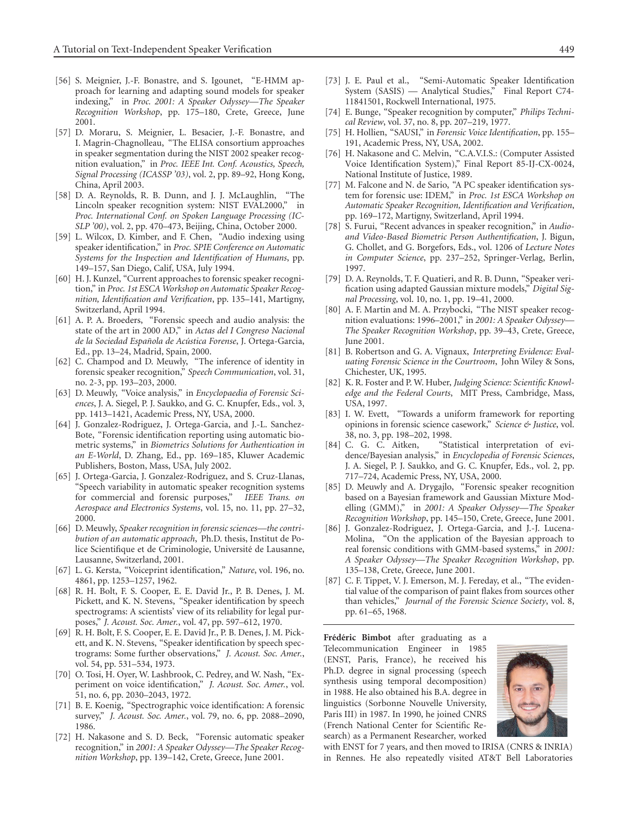- <span id="page-19-0"></span>[56] S. Meignier, J.-F. Bonastre, and S. Igounet, "E-HMM approach for learning and adapting sound models for speaker indexing," in *Proc. 2001: A Speaker Odyssey—The Speaker Recognition Workshop*, pp. 175–180, Crete, Greece, June 2001.
- <span id="page-19-1"></span>[57] D. Moraru, S. Meignier, L. Besacier, J.-F. Bonastre, and I. Magrin-Chagnolleau, "The ELISA consortium approaches in speaker segmentation during the NIST 2002 speaker recognition evaluation," in *Proc. IEEE Int. Conf. Acoustics, Speech, Signal Processing (ICASSP '03)*, vol. 2, pp. 89–92, Hong Kong, China, April 2003.
- <span id="page-19-2"></span>[58] D. A. Reynolds, R. B. Dunn, and J. J. McLaughlin, "The Lincoln speaker recognition system: NIST EVAL2000," in *Proc. International Conf. on Spoken Language Processing (IC-SLP '00)*, vol. 2, pp. 470–473, Beijing, China, October 2000.
- <span id="page-19-3"></span>[59] L. Wilcox, D. Kimber, and F. Chen, "Audio indexing using speaker identification," in *Proc. SPIE Conference on Automatic Systems for the Inspection and Identification of Humans*, pp. 149–157, San Diego, Calif, USA, July 1994.
- <span id="page-19-4"></span>[60] H. J. Kunzel, "Current approaches to forensic speaker recognition," in *Proc. 1st ESCA Workshop on Automatic Speaker Recognition, Identification and Verification*, pp. 135–141, Martigny, Switzerland, April 1994.
- <span id="page-19-5"></span>[61] A. P. A. Broeders, "Forensic speech and audio analysis: the state of the art in 2000 AD," in *Actas del I Congreso Nacional de la Sociedad Espanola de Ac ˜ ustica Forense ´* , J. Ortega-Garcia, Ed., pp. 13–24, Madrid, Spain, 2000.
- <span id="page-19-6"></span>[62] C. Champod and D. Meuwly, "The inference of identity in forensic speaker recognition," *Speech Communication*, vol. 31, no. 2-3, pp. 193–203, 2000.
- <span id="page-19-7"></span>[63] D. Meuwly, "Voice analysis," in *Encyclopaedia of Forensic Sciences*, J. A. Siegel, P. J. Saukko, and G. C. Knupfer, Eds., vol. 3, pp. 1413–1421, Academic Press, NY, USA, 2000.
- <span id="page-19-8"></span>[64] J. Gonzalez-Rodriguez, J. Ortega-Garcia, and J.-L. Sanchez-Bote, "Forensic identification reporting using automatic biometric systems," in *Biometrics Solutions for Authentication in an E-World*, D. Zhang, Ed., pp. 169–185, Kluwer Academic Publishers, Boston, Mass, USA, July 2002.
- <span id="page-19-9"></span>[65] J. Ortega-Garcia, J. Gonzalez-Rodriguez, and S. Cruz-Llanas, "Speech variability in automatic speaker recognition systems for commercial and forensic purposes," *IEEE Trans. on Aerospace and Electronics Systems*, vol. 15, no. 11, pp. 27–32, 2000.
- <span id="page-19-10"></span>[66] D. Meuwly, *Speaker recognition in forensic sciences—the contribution of an automatic approach*, Ph.D. thesis, Institut de Police Scientifique et de Criminologie, Universite de Lausanne, ´ Lausanne, Switzerland, 2001.
- <span id="page-19-11"></span>[67] L. G. Kersta, "Voiceprint identification," *Nature*, vol. 196, no. 4861, pp. 1253–1257, 1962.
- <span id="page-19-12"></span>[68] R. H. Bolt, F. S. Cooper, E. E. David Jr., P. B. Denes, J. M. Pickett, and K. N. Stevens, "Speaker identification by speech spectrograms: A scientists' view of its reliability for legal purposes," *J. Acoust. Soc. Amer.*, vol. 47, pp. 597–612, 1970.
- <span id="page-19-13"></span>[69] R. H. Bolt, F. S. Cooper, E. E. David Jr., P. B. Denes, J. M. Pickett, and K. N. Stevens, "Speaker identification by speech spectrograms: Some further observations," *J. Acoust. Soc. Amer.*, vol. 54, pp. 531–534, 1973.
- <span id="page-19-14"></span>[70] O. Tosi, H. Oyer, W. Lashbrook, C. Pedrey, and W. Nash, "Experiment on voice identification," *J. Acoust. Soc. Amer.*, vol. 51, no. 6, pp. 2030–2043, 1972.
- <span id="page-19-15"></span>[71] B. E. Koenig, "Spectrographic voice identification: A forensic survey," *J. Acoust. Soc. Amer.*, vol. 79, no. 6, pp. 2088–2090, 1986.
- <span id="page-19-16"></span>[72] H. Nakasone and S. D. Beck, "Forensic automatic speaker recognition," in *2001: A Speaker Odyssey—The Speaker Recognition Workshop*, pp. 139–142, Crete, Greece, June 2001.
- <span id="page-19-17"></span>[73] J. E. Paul et al., "Semi-Automatic Speaker Identification System (SASIS) — Analytical Studies," Final Report C74- 11841501, Rockwell International, 1975.
- <span id="page-19-18"></span>[74] E. Bunge, "Speaker recognition by computer," *Philips Technical Review*, vol. 37, no. 8, pp. 207–219, 1977.
- <span id="page-19-19"></span>[75] H. Hollien, "SAUSI," in *Forensic Voice Identification*, pp. 155– 191, Academic Press, NY, USA, 2002.
- <span id="page-19-20"></span>[76] H. Nakasone and C. Melvin, "C.A.V.I.S.: (Computer Assisted Voice Identification System)," Final Report 85-IJ-CX-0024, National Institute of Justice, 1989.
- <span id="page-19-21"></span>[77] M. Falcone and N. de Sario, "A PC speaker identification system for forensic use: IDEM," in *Proc. 1st ESCA Workshop on Automatic Speaker Recognition, Identification and Verification*, pp. 169–172, Martigny, Switzerland, April 1994.
- <span id="page-19-22"></span>[78] S. Furui, "Recent advances in speaker recognition," in *Audioand Video-Based Biometric Person Authentification*, J. Bigun, G. Chollet, and G. Borgefors, Eds., vol. 1206 of *Lecture Notes in Computer Science*, pp. 237–252, Springer-Verlag, Berlin, 1997.
- <span id="page-19-23"></span>[79] D. A. Reynolds, T. F. Quatieri, and R. B. Dunn, "Speaker verification using adapted Gaussian mixture models," *Digital Signal Processing*, vol. 10, no. 1, pp. 19–41, 2000.
- <span id="page-19-24"></span>[80] A. F. Martin and M. A. Przybocki, "The NIST speaker recognition evaluations: 1996–2001," in *2001: A Speaker Odyssey— The Speaker Recognition Workshop*, pp. 39–43, Crete, Greece, June 2001.
- <span id="page-19-25"></span>[81] B. Robertson and G. A. Vignaux, *Interpreting Evidence: Evaluating Forensic Science in the Courtroom*, John Wiley & Sons, Chichester, UK, 1995.
- <span id="page-19-26"></span>[82] K. R. Foster and P. W. Huber, *Judging Science: Scientific Knowledge and the Federal Courts*, MIT Press, Cambridge, Mass, USA, 1997.
- <span id="page-19-27"></span>[83] I. W. Evett, "Towards a uniform framework for reporting opinions in forensic science casework," *Science & Justice*, vol. 38, no. 3, pp. 198–202, 1998.
- <span id="page-19-28"></span>[84] C. G. C. Aitken, "Statistical interpretation of evidence/Bayesian analysis," in *Encyclopedia of Forensic Sciences*, J. A. Siegel, P. J. Saukko, and G. C. Knupfer, Eds., vol. 2, pp. 717–724, Academic Press, NY, USA, 2000.
- <span id="page-19-29"></span>[85] D. Meuwly and A. Drygajlo, "Forensic speaker recognition based on a Bayesian framework and Gaussian Mixture Modelling (GMM)," in *2001: A Speaker Odyssey—The Speaker Recognition Workshop*, pp. 145–150, Crete, Greece, June 2001.
- <span id="page-19-30"></span>[86] J. Gonzalez-Rodriguez, J. Ortega-Garcia, and J.-J. Lucena-Molina, "On the application of the Bayesian approach to real forensic conditions with GMM-based systems," in *2001: A Speaker Odyssey—The Speaker Recognition Workshop*, pp. 135–138, Crete, Greece, June 2001.
- <span id="page-19-31"></span>[87] C. F. Tippet, V. J. Emerson, M. J. Fereday, et al., "The evidential value of the comparison of paint flakes from sources other than vehicles," *Journal of the Forensic Science Society*, vol. 8, pp. 61–65, 1968.

Frédéric Bimbot after graduating as a Telecommunication Engineer in 1985 (ENST, Paris, France), he received his Ph.D. degree in signal processing (speech synthesis using temporal decomposition) in 1988. He also obtained his B.A. degree in linguistics (Sorbonne Nouvelle University, Paris III) in 1987. In 1990, he joined CNRS (French National Center for Scientific Research) as a Permanent Researcher, worked



with ENST for 7 years, and then moved to IRISA (CNRS & INRIA) in Rennes. He also repeatedly visited AT&T Bell Laboratories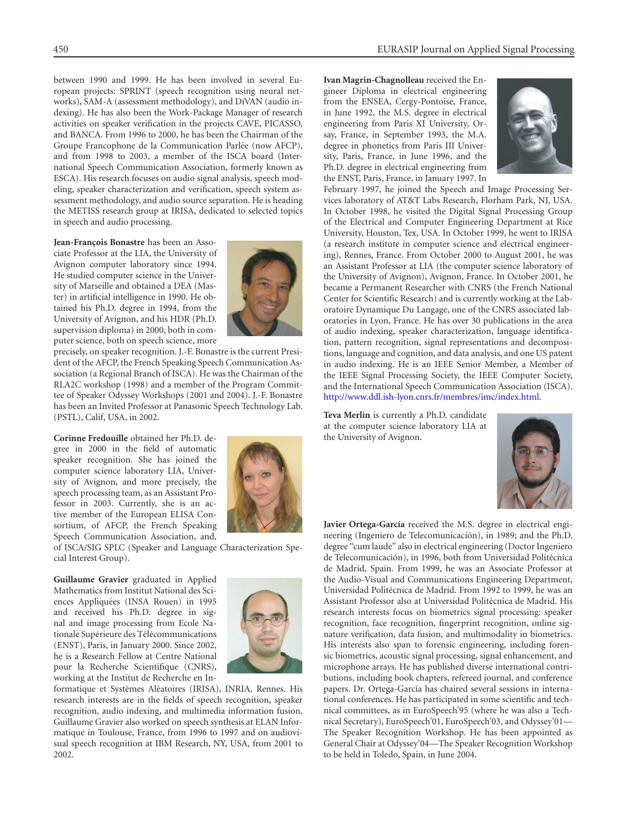between 1990 and 1999. He has been involved in several European projects: SPRINT (speech recognition using neural networks), SAM-A (assessment methodology), and DiVAN (audio indexing). He has also been the Work-Package Manager of research activities on speaker verification in the projects CAVE, PICASSO, and BANCA. From 1996 to 2000, he has been the Chairman of the Groupe Francophone de la Communication Parlée (now AFCP), and from 1998 to 2003, a member of the ISCA board (International Speech Communication Association, formerly known as ESCA). His research focuses on audio signal analysis, speech modeling, speaker characterization and verification, speech system assessment methodology, and audio source separation. He is heading the METISS research group at IRISA, dedicated to selected topics in speech and audio processing.

Jean-François Bonastre has been an Associate Professor at the LIA, the University of Avignon computer laboratory since 1994. He studied computer science in the University of Marseille and obtained a DEA (Master) in artificial intelligence in 1990. He obtained his Ph.D. degree in 1994, from the University of Avignon, and his HDR (Ph.D. supervision diploma) in 2000, both in computer science, both on speech science, more



precisely, on speaker recognition. J.-F. Bonastre is the current President of the AFCP, the French Speaking Speech Communication Association (a Regional Branch of ISCA). He was the Chairman of the RLA2C workshop (1998) and a member of the Program Committee of Speaker Odyssey Workshops (2001 and 2004). J.-F. Bonastre has been an Invited Professor at Panasonic Speech Technology Lab. (PSTL), Calif, USA, in 2002.

**Corinne Fredouille** obtained her Ph.D. degree in 2000 in the field of automatic speaker recognition. She has joined the computer science laboratory LIA, University of Avignon, and more precisely, the speech processing team, as an Assistant Professor in 2003. Currently, she is an active member of the European ELISA Consortium, of AFCP, the French Speaking



**Guillaume Gravier** graduated in Applied Mathematics from Institut National des Sciences Appliquées (INSA Rouen) in 1995 and received his Ph.D. degree in signal and image processing from Ecole Nationale Supérieure des Télécommunications (ENST), Paris, in January 2000. Since 2002, he is a Research Fellow at Centre National pour la Recherche Scientifique (CNRS), working at the Institut de Recherche en In-



formatique et Systèmes Aléatoires (IRISA), INRIA, Rennes. His research interests are in the fields of speech recognition, speaker recognition, audio indexing, and multimedia information fusion. Guillaume Gravier also worked on speech synthesis at ELAN Informatique in Toulouse, France, from 1996 to 1997 and on audiovisual speech recognition at IBM Research, NY, USA, from 2001 to 2002.

**Ivan Magrin-Chagnolleau** received the Engineer Diploma in electrical engineering from the ENSEA, Cergy-Pontoise, France, in June 1992, the M.S. degree in electrical engineering from Paris XI University, Orsay, France, in September 1993, the M.A. degree in phonetics from Paris III University, Paris, France, in June 1996, and the Ph.D. degree in electrical engineering from the ENST, Paris, France, in January 1997. In



February 1997, he joined the Speech and Image Processing Services laboratory of AT&T Labs Research, Florham Park, NJ, USA. In October 1998, he visited the Digital Signal Processing Group of the Electrical and Computer Engineering Department at Rice University, Houston, Tex, USA. In October 1999, he went to IRISA (a research institute in computer science and electrical engineering), Rennes, France. From October 2000 to August 2001, he was an Assistant Professor at LIA (the computer science laboratory of the University of Avignon), Avignon, France. In October 2001, he became a Permanent Researcher with CNRS (the French National Center for Scientific Research) and is currently working at the Laboratoire Dynamique Du Langage, one of the CNRS associated laboratories in Lyon, France. He has over 30 publications in the area of audio indexing, speaker characterization, language identification, pattern recognition, signal representations and decompositions, language and cognition, and data analysis, and one US patent in audio indexing. He is an IEEE Senior Member, a Member of the IEEE Signal Processing Society, the IEEE Computer Society, and the International Speech Communication Association (ISCA). [http://www.ddl.ish-lyon.cnrs.fr/membres/imc/index.html.](http://www.ddl.ish-lyon.cnrs.fr/membres/imc/index.html)

**Teva Merlin** is currently a Ph.D. candidate at the computer science laboratory LIA at the University of Avignon.



**Javier Ortega-García** received the M.S. degree in electrical engineering (Ingeniero de Telecomunicación), in 1989; and the Ph.D. degree "cum laude" also in electrical engineering (Doctor Ingeniero de Telecomunicación), in 1996, both from Universidad Politécnica de Madrid, Spain. From 1999, he was an Associate Professor at the Audio-Visual and Communications Engineering Department, Universidad Politécnica de Madrid. From 1992 to 1999, he was an Assistant Professor also at Universidad Politécnica de Madrid. His research interests focus on biometrics signal processing: speaker recognition, face recognition, fingerprint recognition, online signature verification, data fusion, and multimodality in biometrics. His interests also span to forensic engineering, including forensic biometrics, acoustic signal processing, signal enhancement, and microphone arrays. He has published diverse international contributions, including book chapters, refereed journal, and conference papers. Dr. Ortega-García has chaired several sessions in international conferences. He has participated in some scientific and technical committees, as in EuroSpeech'95 (where he was also a Technical Secretary), EuroSpeech'01, EuroSpeech'03, and Odyssey'01— The Speaker Recognition Workshop. He has been appointed as General Chair at Odyssey'04—The Speaker Recognition Workshop to be held in Toledo, Spain, in June 2004.